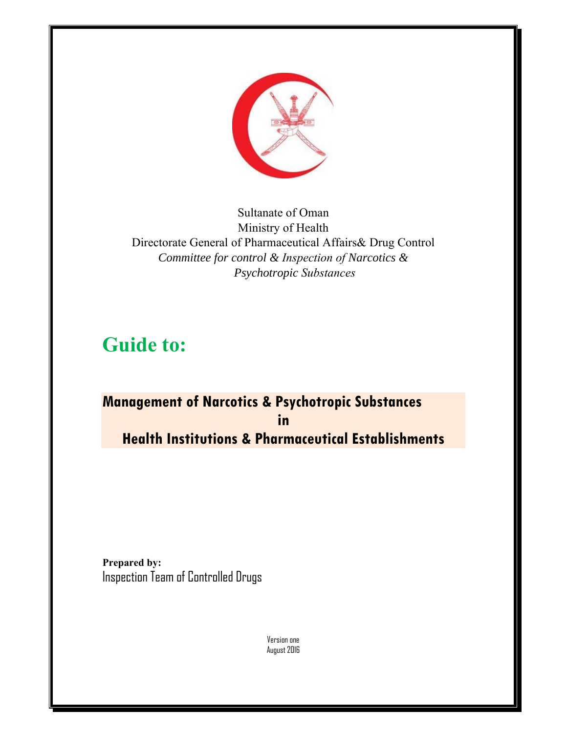

Sultanate of Oman Ministry of Health Directorate General of Pharmaceutical Affairs& Drug Control *Committee for control & Inspection of Narcotics & Psychotropic Substances*

# **Guide to:**

# **Management of Narcotics & Psychotropic Substances in Health Institutions & Pharmaceutical Establishments**

**Prepared by:**  Inspection Team of Controlled Drugs

> Version one August 2016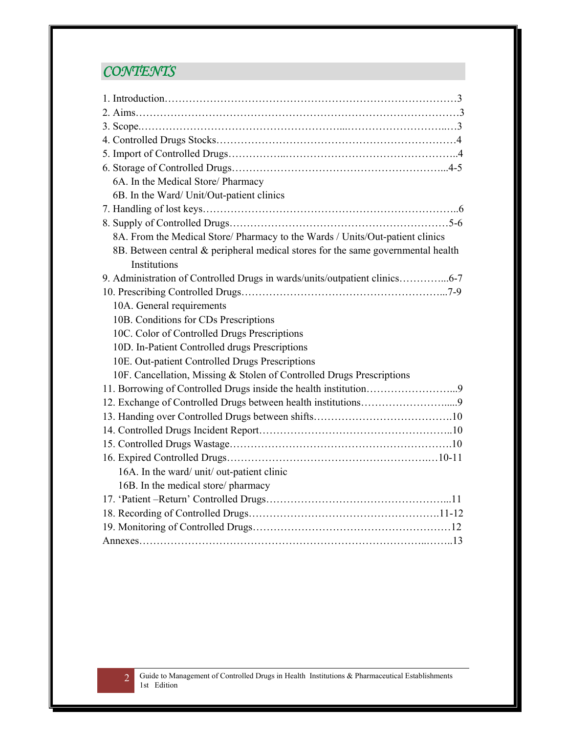# *CONTENTS*

| 6A. In the Medical Store/ Pharmacy                                               |
|----------------------------------------------------------------------------------|
| 6B. In the Ward/ Unit/Out-patient clinics                                        |
|                                                                                  |
|                                                                                  |
| 8A. From the Medical Store/ Pharmacy to the Wards / Units/Out-patient clinics    |
| 8B. Between central & peripheral medical stores for the same governmental health |
| Institutions                                                                     |
| 9. Administration of Controlled Drugs in wards/units/outpatient clinics6-7       |
|                                                                                  |
| 10A. General requirements                                                        |
| 10B. Conditions for CDs Prescriptions                                            |
| 10C. Color of Controlled Drugs Prescriptions                                     |
| 10D. In-Patient Controlled drugs Prescriptions                                   |
| 10E. Out-patient Controlled Drugs Prescriptions                                  |
| 10F. Cancellation, Missing & Stolen of Controlled Drugs Prescriptions            |
|                                                                                  |
|                                                                                  |
|                                                                                  |
|                                                                                  |
|                                                                                  |
|                                                                                  |
| 16A. In the ward/ unit/ out-patient clinic                                       |
| 16B. In the medical store/pharmacy                                               |
|                                                                                  |
|                                                                                  |
|                                                                                  |
|                                                                                  |

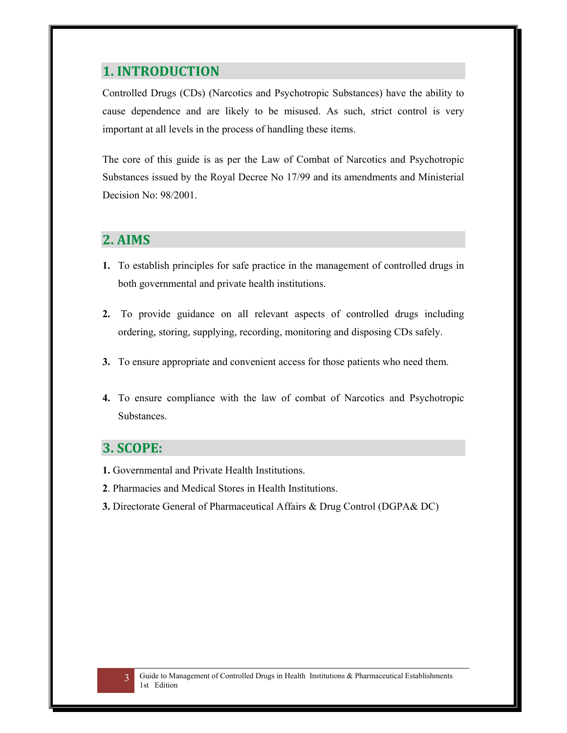#### **1. INTRODUCTION**

Controlled Drugs (CDs) (Narcotics and Psychotropic Substances) have the ability to cause dependence and are likely to be misused. As such, strict control is very important at all levels in the process of handling these items.

The core of this guide is as per the Law of Combat of Narcotics and Psychotropic Substances issued by the Royal Decree No 17/99 and its amendments and Ministerial Decision No: 98/2001.

#### **2. AIMS**

- **1.** To establish principles for safe practice in the management of controlled drugs in both governmental and private health institutions.
- **2.** To provide guidance on all relevant aspects of controlled drugs including ordering, storing, supplying, recording, monitoring and disposing CDs safely.
- **3.** To ensure appropriate and convenient access for those patients who need them.
- **4.** To ensure compliance with the law of combat of Narcotics and Psychotropic Substances.

#### **3. SCOPE:**

- **1.** Governmental and Private Health Institutions.
- **2**. Pharmacies and Medical Stores in Health Institutions.
- **3.** Directorate General of Pharmaceutical Affairs & Drug Control (DGPA& DC)

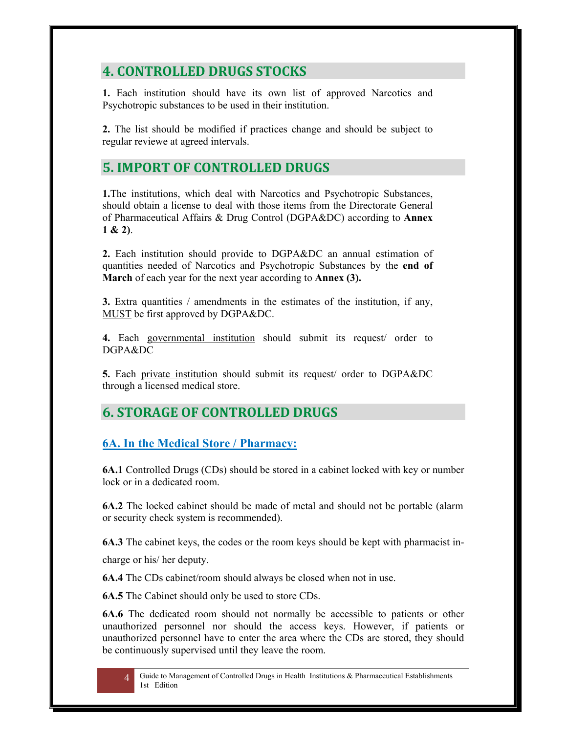## **4. CONTROLLED DRUGS STOCKS**

**1.** Each institution should have its own list of approved Narcotics and Psychotropic substances to be used in their institution.

**2.** The list should be modified if practices change and should be subject to regular reviewe at agreed intervals.

## **5. IMPORT OF CONTROLLED DRUGS**

**1.**The institutions, which deal with Narcotics and Psychotropic Substances, should obtain a license to deal with those items from the Directorate General of Pharmaceutical Affairs & Drug Control (DGPA&DC) according to **Annex 1 & 2)**.

**2.** Each institution should provide to DGPA&DC an annual estimation of quantities needed of Narcotics and Psychotropic Substances by the **end of March** of each year for the next year according to **Annex (3).**

**3.** Extra quantities / amendments in the estimates of the institution, if any, MUST be first approved by DGPA&DC.

**4.** Each governmental institution should submit its request/ order to DGPA&DC

**5.** Each private institution should submit its request/ order to DGPA&DC through a licensed medical store.

## **6. STORAGE OF CONTROLLED DRUGS**

#### **6A. In the Medical Store / Pharmacy:**

**6A.1** Controlled Drugs (CDs) should be stored in a cabinet locked with key or number lock or in a dedicated room.

**6A.2** The locked cabinet should be made of metal and should not be portable (alarm or security check system is recommended).

**6A.3** The cabinet keys, the codes or the room keys should be kept with pharmacist in-

charge or his/ her deputy.

**6A.4** The CDs cabinet/room should always be closed when not in use.

**6A.5** The Cabinet should only be used to store CDs.

**6A.6** The dedicated room should not normally be accessible to patients or other unauthorized personnel nor should the access keys. However, if patients or unauthorized personnel have to enter the area where the CDs are stored, they should be continuously supervised until they leave the room.

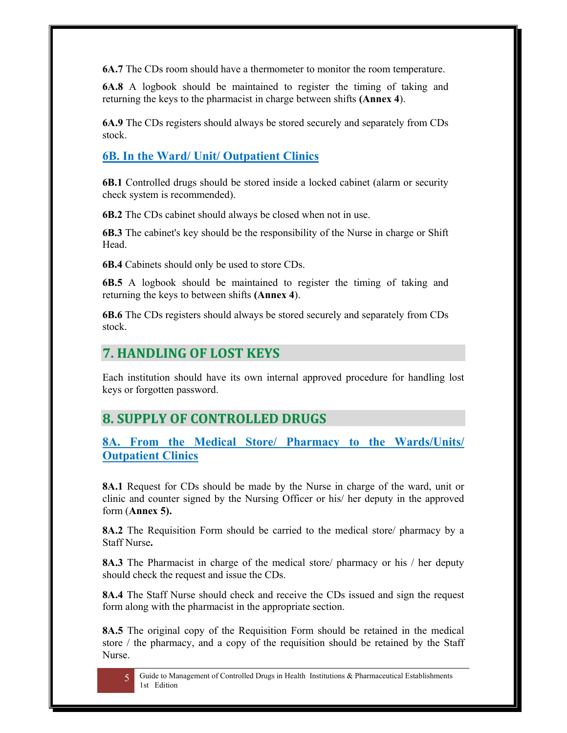**6A.7** The CDs room should have a thermometer to monitor the room temperature.

**6A.8** A logbook should be maintained to register the timing of taking and returning the keys to the pharmacist in charge between shifts **(Annex 4**).

**6A.9** The CDs registers should always be stored securely and separately from CDs stock.

#### **6B. In the Ward/ Unit/ Outpatient Clinics**

**6B.1** Controlled drugs should be stored inside a locked cabinet (alarm or security check system is recommended).

**6B.2** The CDs cabinet should always be closed when not in use.

**6B.3** The cabinet's key should be the responsibility of the Nurse in charge or Shift Head.

**6B.4** Cabinets should only be used to store CDs.

**6B.5** A logbook should be maintained to register the timing of taking and returning the keys to between shifts **(Annex 4**).

**6B.6** The CDs registers should always be stored securely and separately from CDs stock.

## **7. HANDLING OF LOST KEYS**

Each institution should have its own internal approved procedure for handling lost keys or forgotten password.

### **8. SUPPLY OF CONTROLLED DRUGS**

**8A. From the Medical Store/ Pharmacy to the Wards/Units/ Outpatient Clinics** 

**8A.1** Request for CDs should be made by the Nurse in charge of the ward, unit or clinic and counter signed by the Nursing Officer or his/ her deputy in the approved form (**Annex 5).** 

**8A.2** The Requisition Form should be carried to the medical store/ pharmacy by a Staff Nurse**.** 

**8A.3** The Pharmacist in charge of the medical store/ pharmacy or his / her deputy should check the request and issue the CDs.

**8A.4** The Staff Nurse should check and receive the CDs issued and sign the request form along with the pharmacist in the appropriate section.

**8A.5** The original copy of the Requisition Form should be retained in the medical store / the pharmacy, and a copy of the requisition should be retained by the Staff Nurse.



5 Guide to Management of Controlled Drugs in Health Institutions & Pharmaceutical Establishments 1st Edition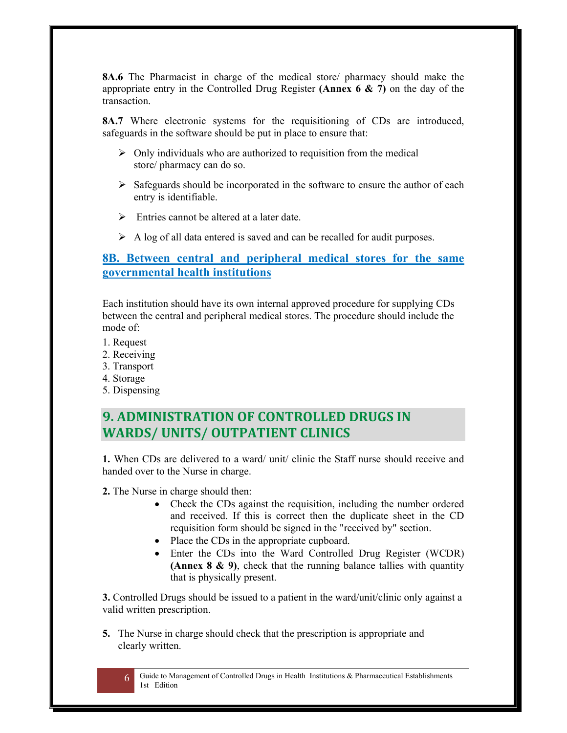**8A.6** The Pharmacist in charge of the medical store/ pharmacy should make the appropriate entry in the Controlled Drug Register **(Annex 6 & 7)** on the day of the transaction.

**8A.7** Where electronic systems for the requisitioning of CDs are introduced, safeguards in the software should be put in place to ensure that:

- $\triangleright$  Only individuals who are authorized to requisition from the medical store/ pharmacy can do so.
- $\triangleright$  Safeguards should be incorporated in the software to ensure the author of each entry is identifiable.
- $\triangleright$  Entries cannot be altered at a later date.
- $\triangleright$  A log of all data entered is saved and can be recalled for audit purposes.

#### **8B. Between central and peripheral medical stores for the same governmental health institutions**

Each institution should have its own internal approved procedure for supplying CDs between the central and peripheral medical stores. The procedure should include the mode of:

- 1. Request
- 2. Receiving
- 3. Transport
- 4. Storage
- 5. Dispensing

### **9. ADMINISTRATION OF CONTROLLED DRUGS IN WARDS/ UNITS/ OUTPATIENT CLINICS**

**1.** When CDs are delivered to a ward/ unit/ clinic the Staff nurse should receive and handed over to the Nurse in charge.

**2.** The Nurse in charge should then:

- Check the CDs against the requisition, including the number ordered and received. If this is correct then the duplicate sheet in the CD requisition form should be signed in the "received by" section.
- Place the CDs in the appropriate cupboard.
- Enter the CDs into the Ward Controlled Drug Register (WCDR) **(Annex 8 & 9)**, check that the running balance tallies with quantity that is physically present.

**3.** Controlled Drugs should be issued to a patient in the ward/unit/clinic only against a valid written prescription.

**5.** The Nurse in charge should check that the prescription is appropriate and clearly written.

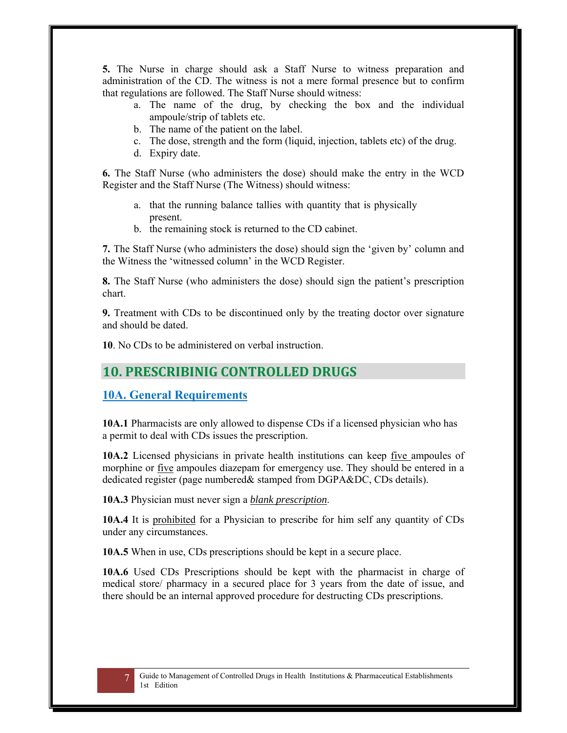**5.** The Nurse in charge should ask a Staff Nurse to witness preparation and administration of the CD. The witness is not a mere formal presence but to confirm that regulations are followed. The Staff Nurse should witness:

- a. The name of the drug, by checking the box and the individual ampoule/strip of tablets etc.
- b. The name of the patient on the label.
- c. The dose, strength and the form (liquid, injection, tablets etc) of the drug.
- d. Expiry date.

**6.** The Staff Nurse (who administers the dose) should make the entry in the WCD Register and the Staff Nurse (The Witness) should witness:

- a. that the running balance tallies with quantity that is physically present.
- b. the remaining stock is returned to the CD cabinet.

**7.** The Staff Nurse (who administers the dose) should sign the 'given by' column and the Witness the 'witnessed column' in the WCD Register.

**8.** The Staff Nurse (who administers the dose) should sign the patient's prescription chart.

**9.** Treatment with CDs to be discontinued only by the treating doctor over signature and should be dated.

**10**. No CDs to be administered on verbal instruction.

### **10. PRESCRIBINIG CONTROLLED DRUGS**

#### **10A. General Requirements**

**10A.1** Pharmacists are only allowed to dispense CDs if a licensed physician who has a permit to deal with CDs issues the prescription.

**10A.2** Licensed physicians in private health institutions can keep five ampoules of morphine or five ampoules diazepam for emergency use. They should be entered in a dedicated register (page numbered& stamped from DGPA&DC, CDs details).

**10A.3** Physician must never sign a *blank prescription*.

**10A.4** It is prohibited for a Physician to prescribe for him self any quantity of CDs under any circumstances.

**10A.5** When in use, CDs prescriptions should be kept in a secure place.

**10A.6** Used CDs Prescriptions should be kept with the pharmacist in charge of medical store/ pharmacy in a secured place for 3 years from the date of issue, and there should be an internal approved procedure for destructing CDs prescriptions.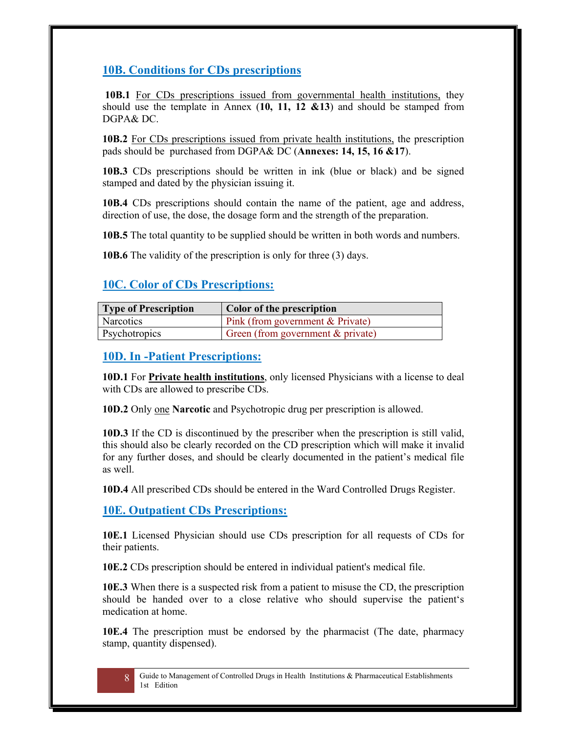### **10B. Conditions for CDs prescriptions**

**10B.1** For CDs prescriptions issued from governmental health institutions, they should use the template in Annex (**10, 11, 12 &13**) and should be stamped from DGPA& DC.

**10B.2** For CDs prescriptions issued from private health institutions, the prescription pads should be purchased from DGPA& DC (**Annexes: 14, 15, 16 &17**).

**10B.3** CDs prescriptions should be written in ink (blue or black) and be signed stamped and dated by the physician issuing it.

**10B.4** CDs prescriptions should contain the name of the patient, age and address, direction of use, the dose, the dosage form and the strength of the preparation.

**10B.5** The total quantity to be supplied should be written in both words and numbers.

**10B.6** The validity of the prescription is only for three (3) days.

#### **10C. Color of CDs Prescriptions:**

| <b>Type of Prescription</b> | Color of the prescription           |
|-----------------------------|-------------------------------------|
| Narcotics                   | Pink (from government $& Private$ ) |
| Psychotropics               | Green (from government $&$ private) |

#### **10D. In -Patient Prescriptions:**

**10D.1** For **Private health institutions**, only licensed Physicians with a license to deal with CDs are allowed to prescribe CDs.

**10D.2** Only one **Narcotic** and Psychotropic drug per prescription is allowed.

**10D.3** If the CD is discontinued by the prescriber when the prescription is still valid, this should also be clearly recorded on the CD prescription which will make it invalid for any further doses, and should be clearly documented in the patient's medical file as well.

**10D.4** All prescribed CDs should be entered in the Ward Controlled Drugs Register.

#### **10E. Outpatient CDs Prescriptions:**

**10E.1** Licensed Physician should use CDs prescription for all requests of CDs for their patients.

**10E.2** CDs prescription should be entered in individual patient's medical file.

**10E.3** When there is a suspected risk from a patient to misuse the CD, the prescription should be handed over to a close relative who should supervise the patient's medication at home.

**10E.4** The prescription must be endorsed by the pharmacist (The date, pharmacy stamp, quantity dispensed).



8 Guide to Management of Controlled Drugs in Health Institutions & Pharmaceutical Establishments 1st Edition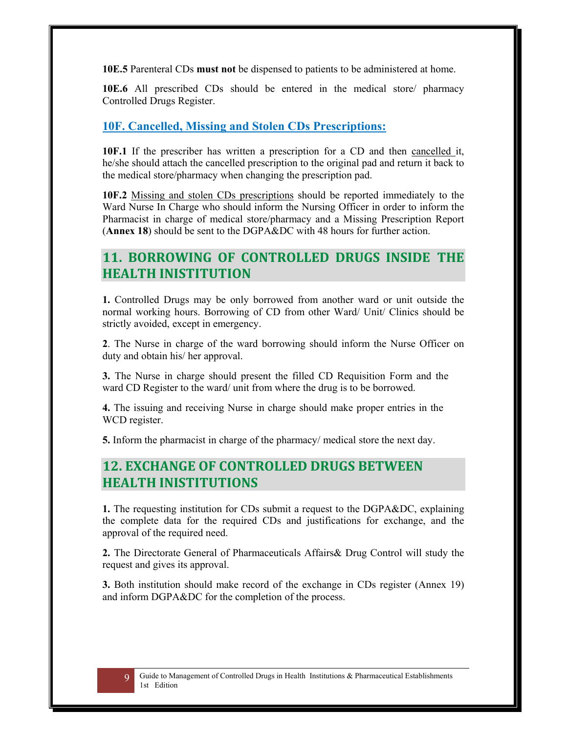**10E.5** Parenteral CDs **must not** be dispensed to patients to be administered at home.

**10E.6** All prescribed CDs should be entered in the medical store/ pharmacy Controlled Drugs Register.

#### **10F. Cancelled, Missing and Stolen CDs Prescriptions:**

**10F.1** If the prescriber has written a prescription for a CD and then cancelled it, he/she should attach the cancelled prescription to the original pad and return it back to the medical store/pharmacy when changing the prescription pad.

**10F.2** Missing and stolen CDs prescriptions should be reported immediately to the Ward Nurse In Charge who should inform the Nursing Officer in order to inform the Pharmacist in charge of medical store/pharmacy and a Missing Prescription Report (**Annex 18**) should be sent to the DGPA&DC with 48 hours for further action.

## **11. BORROWING OF CONTROLLED DRUGS INSIDE****THE HEALTH INISTITUTION**

**1.** Controlled Drugs may be only borrowed from another ward or unit outside the normal working hours. Borrowing of CD from other Ward/ Unit/ Clinics should be strictly avoided, except in emergency.

**2**. The Nurse in charge of the ward borrowing should inform the Nurse Officer on duty and obtain his/ her approval.

**3.** The Nurse in charge should present the filled CD Requisition Form and the ward CD Register to the ward/ unit from where the drug is to be borrowed.

**4.** The issuing and receiving Nurse in charge should make proper entries in the WCD register.

**5.** Inform the pharmacist in charge of the pharmacy/ medical store the next day.

### **12. EXCHANGE OF CONTROLLED DRUGS BETWEEN HEALTH INISTITUTIONS**

**1.** The requesting institution for CDs submit a request to the DGPA&DC, explaining the complete data for the required CDs and justifications for exchange, and the approval of the required need.

**2.** The Directorate General of Pharmaceuticals Affairs& Drug Control will study the request and gives its approval.

**3.** Both institution should make record of the exchange in CDs register (Annex 19) and inform DGPA&DC for the completion of the process.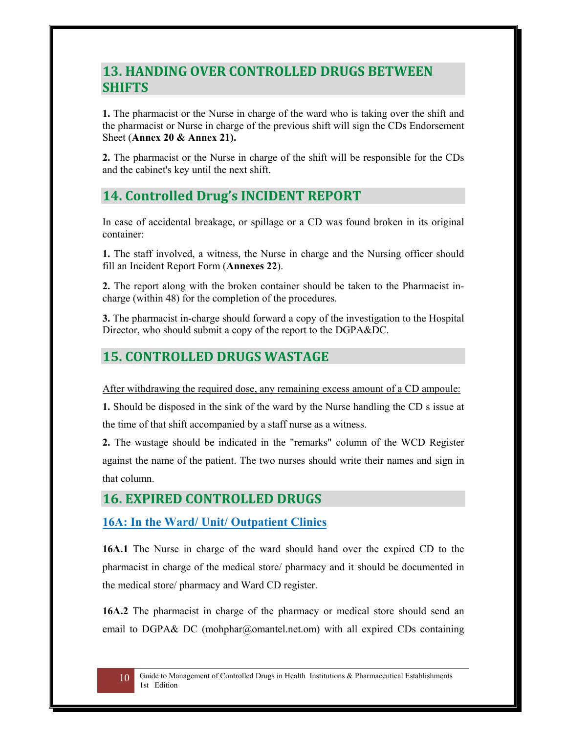## **13. HANDING OVER CONTROLLED DRUGS BETWEEN SHIFTS**

**1.** The pharmacist or the Nurse in charge of the ward who is taking over the shift and the pharmacist or Nurse in charge of the previous shift will sign the CDs Endorsement Sheet (**Annex 20 & Annex 21).**

**2.** The pharmacist or the Nurse in charge of the shift will be responsible for the CDs and the cabinet's key until the next shift.

## **14. Controlled Drug's INCIDENT REPORT**

In case of accidental breakage, or spillage or a CD was found broken in its original container:

**1.** The staff involved, a witness, the Nurse in charge and the Nursing officer should fill an Incident Report Form (**Annexes 22**).

**2.** The report along with the broken container should be taken to the Pharmacist incharge (within 48) for the completion of the procedures.

**3.** The pharmacist in-charge should forward a copy of the investigation to the Hospital Director, who should submit a copy of the report to the DGPA&DC.

## **15. CONTROLLED DRUGS WASTAGE**

After withdrawing the required dose, any remaining excess amount of a CD ampoule:

**1.** Should be disposed in the sink of the ward by the Nurse handling the CD s issue at the time of that shift accompanied by a staff nurse as a witness.

**2.** The wastage should be indicated in the "remarks" column of the WCD Register against the name of the patient. The two nurses should write their names and sign in that column.

## **16. EXPIRED CONTROLLED DRUGS**

#### **16A: In the Ward/ Unit/ Outpatient Clinics**

**16A.1** The Nurse in charge of the ward should hand over the expired CD to the pharmacist in charge of the medical store/ pharmacy and it should be documented in the medical store/ pharmacy and Ward CD register.

**16A.2** The pharmacist in charge of the pharmacy or medical store should send an email to DGPA& DC (mohphar@omantel.net.om) with all expired CDs containing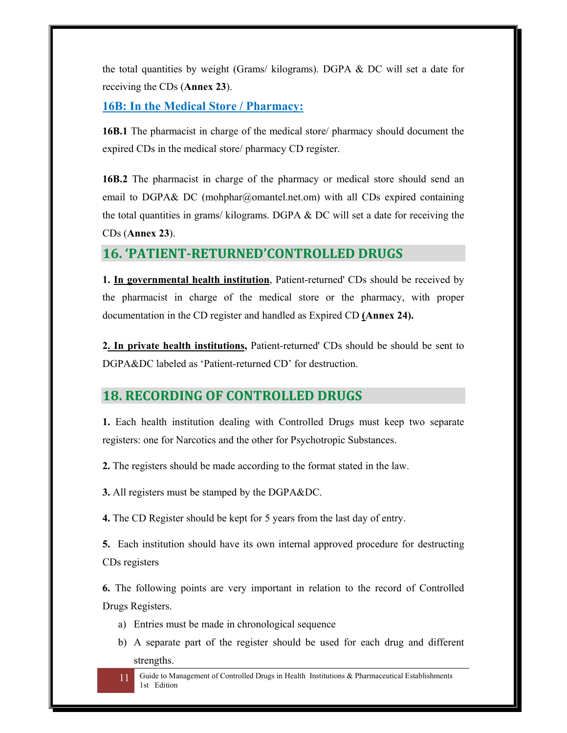the total quantities by weight (Grams/ kilograms). DGPA & DC will set a date for receiving the CDs (**Annex 23**).

#### **16B: In the Medical Store / Pharmacy:**

**16B.1** The pharmacist in charge of the medical store/ pharmacy should document the expired CDs in the medical store/ pharmacy CD register.

**16B.2** The pharmacist in charge of the pharmacy or medical store should send an email to DGPA& DC (mohphar@omantel.net.om) with all CDs expired containing the total quantities in grams/ kilograms. DGPA & DC will set a date for receiving the CDs (**Annex 23**).

#### **16. 'PATIENT‐RETURNED'CONTROLLED DRUGS**

**1. In governmental health institution**, Patient-returned' CDs should be received by the pharmacist in charge of the medical store or the pharmacy, with proper documentation in the CD register and handled as Expired CD **(Annex 24).** 

**2. In private health institutions,** Patient-returned' CDs should be should be sent to DGPA&DC labeled as 'Patient-returned CD' for destruction.

#### **18. RECORDING OF CONTROLLED DRUGS**

**1.** Each health institution dealing with Controlled Drugs must keep two separate registers: one for Narcotics and the other for Psychotropic Substances.

**2.** The registers should be made according to the format stated in the law.

**3.** All registers must be stamped by the DGPA&DC.

**4.** The CD Register should be kept for 5 years from the last day of entry.

**5.** Each institution should have its own internal approved procedure for destructing CDs registers

**6.** The following points are very important in relation to the record of Controlled Drugs Registers.

- a) Entries must be made in chronological sequence
- b) A separate part of the register should be used for each drug and different strengths.

11 Guide to Management of Controlled Drugs in Health Institutions & Pharmaceutical Establishments 1st Edition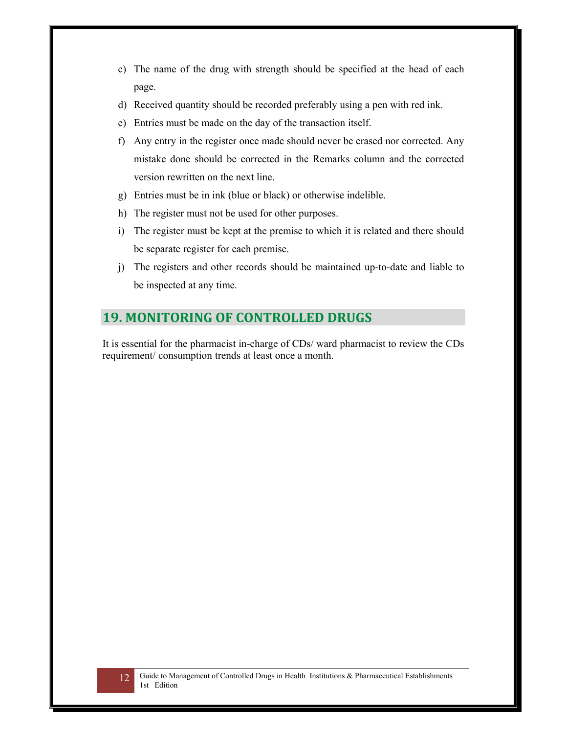- c) The name of the drug with strength should be specified at the head of each page.
- d) Received quantity should be recorded preferably using a pen with red ink.
- e) Entries must be made on the day of the transaction itself.
- f) Any entry in the register once made should never be erased nor corrected. Any mistake done should be corrected in the Remarks column and the corrected version rewritten on the next line.
- g) Entries must be in ink (blue or black) or otherwise indelible.
- h) The register must not be used for other purposes.
- i) The register must be kept at the premise to which it is related and there should be separate register for each premise.
- j) The registers and other records should be maintained up-to-date and liable to be inspected at any time.

## **19. MONITORING OF CONTROLLED DRUGS**

It is essential for the pharmacist in-charge of CDs/ ward pharmacist to review the CDs requirement/ consumption trends at least once a month.

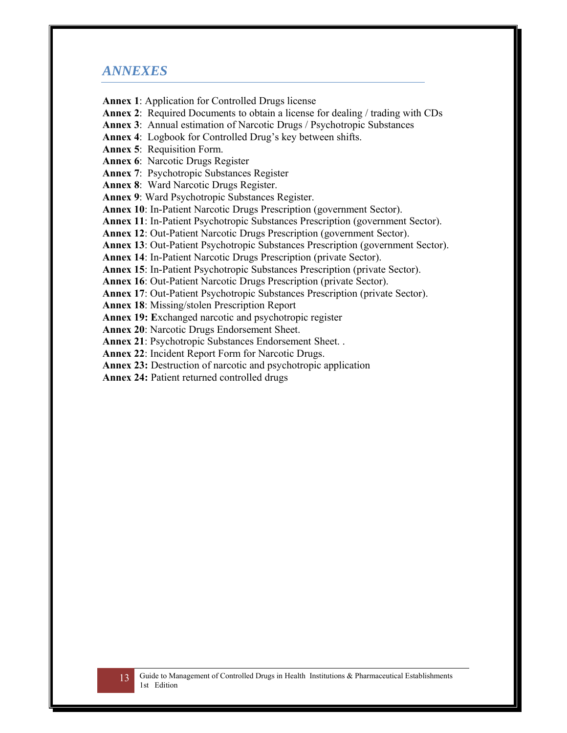#### *ANNEXES*

**Annex 1**: Application for Controlled Drugs license

**Annex 2**: Required Documents to obtain a license for dealing / trading with CDs

**Annex 3**: Annual estimation of Narcotic Drugs / Psychotropic Substances

**Annex 4**: Logbook for Controlled Drug's key between shifts.

**Annex 5**: Requisition Form.

**Annex 6**: Narcotic Drugs Register

**Annex 7**: Psychotropic Substances Register

**Annex 8**: Ward Narcotic Drugs Register.

**Annex 9**: Ward Psychotropic Substances Register.

**Annex 10**: In-Patient Narcotic Drugs Prescription (government Sector).

**Annex 11**: In-Patient Psychotropic Substances Prescription (government Sector).

**Annex 12**: Out-Patient Narcotic Drugs Prescription (government Sector).

**Annex 13**: Out-Patient Psychotropic Substances Prescription (government Sector).

**Annex 14**: In-Patient Narcotic Drugs Prescription (private Sector).

**Annex 15**: In-Patient Psychotropic Substances Prescription (private Sector).

**Annex 16**: Out-Patient Narcotic Drugs Prescription (private Sector).

**Annex 17**: Out-Patient Psychotropic Substances Prescription (private Sector).

**Annex 18**: Missing/stolen Prescription Report

**Annex 19: E**xchanged narcotic and psychotropic register

**Annex 20**: Narcotic Drugs Endorsement Sheet.

**Annex 21**: Psychotropic Substances Endorsement Sheet. .

**Annex 22**: Incident Report Form for Narcotic Drugs.

**Annex 23:** Destruction of narcotic and psychotropic application

**Annex 24:** Patient returned controlled drugs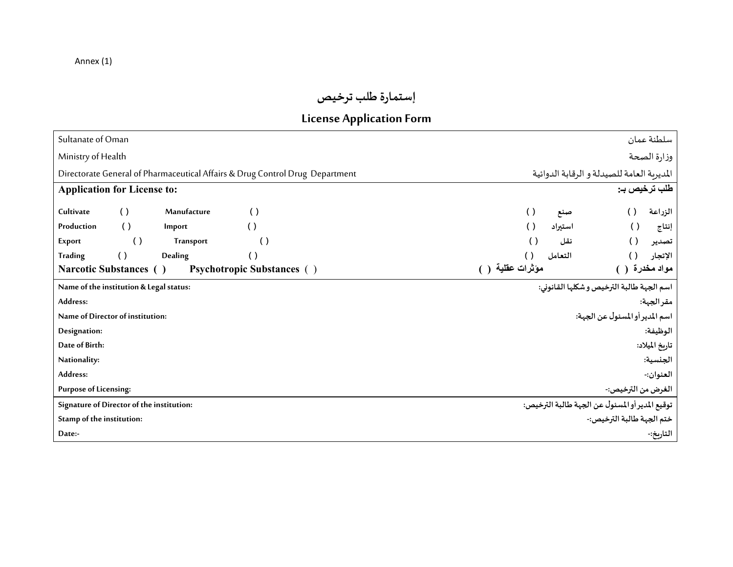## **إستمارة طلبترخيص**

## **License Application Form**

| Sultanate of Oman                                                                                      | سلطنة عمان                                                                        |
|--------------------------------------------------------------------------------------------------------|-----------------------------------------------------------------------------------|
| Ministry of Health                                                                                     | وزارة الصحة                                                                       |
| Directorate General of Pharmaceutical Affairs & Drug Control Drug Department                           | المديرية العامة للصيدلة و الرقابة الدوائية                                        |
| <b>Application for License to:</b>                                                                     | طلب ترخيص بـ:                                                                     |
| Cultivate<br>$\left( \ \right)$<br>Manufacture<br>$\left( \ \right)$<br>$\left( \right)$<br>Production | $\left( \ \right)$<br>الزراعة<br>$\left( \ \right)$<br>صننع<br>$\left( \ \right)$ |
| $\left( \ \right)$<br>Import<br>$\left( \right)$<br>$\left( \right)$<br>Export<br><b>Transport</b>     | استيراد<br>$\left( \right)$<br>إنتاج<br>$\left( \right)$<br>نقل<br>تصدير          |
| <b>Trading</b><br>$\left( \ \right)$<br>Dealing<br>$\left( \ \right)$                                  | التعامل<br>الإتجار<br>()                                                          |
| <b>Narcotic Substances</b> ()<br><b>Psychotropic Substances</b> ()                                     | مؤثرات عقلية ( )<br>مواد مخدرة ()                                                 |
| Name of the institution & Legal status:                                                                | اسم الجهة طالبة الترخيص و شكلها القانوني:                                         |
| Address:                                                                                               | مقرالجهة:                                                                         |
| Name of Director of institution:                                                                       | اسم المدير أو المسئول عن الجهة:                                                   |
| Designation:                                                                                           | الوظيفة:                                                                          |
| Date of Birth:                                                                                         | تاريخ الميلاد:                                                                    |
| Nationality:                                                                                           | الجنسية:                                                                          |
| Address:                                                                                               | العنوان:-                                                                         |
| <b>Purpose of Licensing:</b>                                                                           | الغرض من الترخيص:-                                                                |
| Signature of Director of the institution:                                                              | توقيع المدير أو المسئول عن الجهة طالبة الترخيص:                                   |
| Stamp of the institution:                                                                              | ختم الجهة طالبة الترخيص:-                                                         |
| Date:-                                                                                                 | التاريخ:-                                                                         |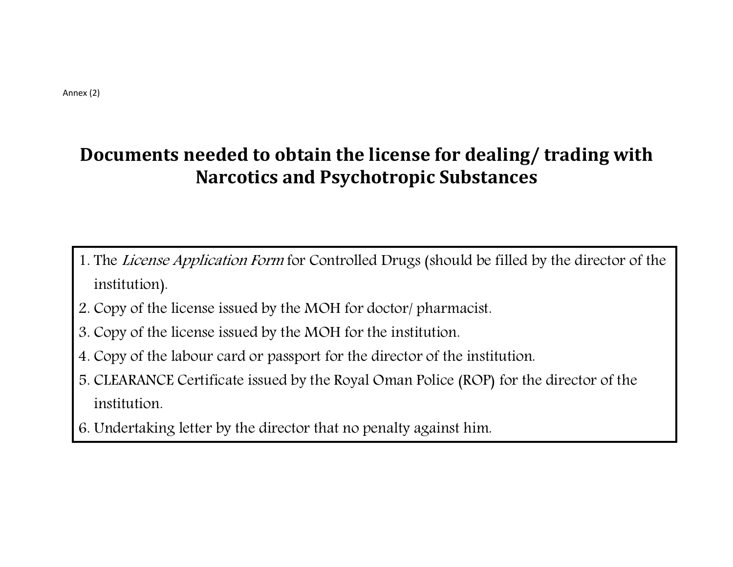# **Documents needed to obtain the license for dealing/ trading with Narcotics and Psychotropic Substances**

- 1. The *License Application Form* for Controlled Drugs (should be filled by the director of the institution).
- 2. Copy of the license issued by the MOH for doctor/ pharmacist.
- 3. Copy of the license issued by the MOH for the institution.
- 4. Copy of the labour card or passport for the director of the institution.
- 5. CLEARANCE Certificate issued by the Royal Oman Police (ROP) for the director of the institution.
- 6. Undertaking letter by the director that no penalty against him.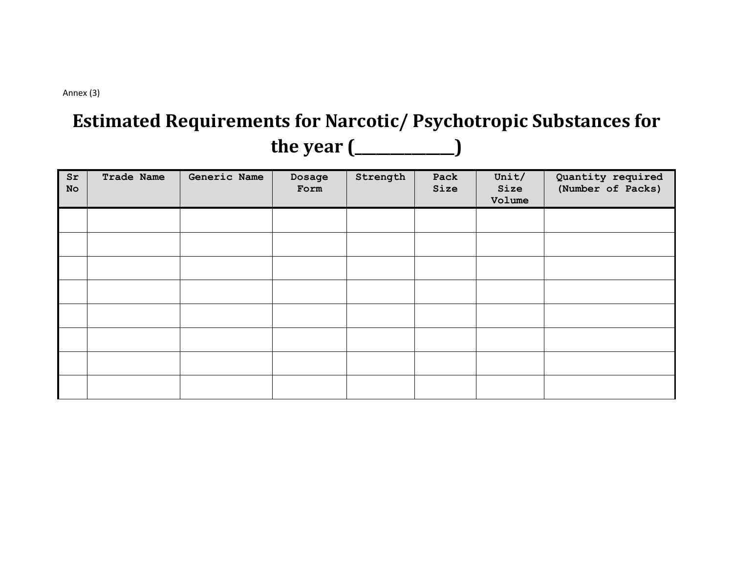Annex (3)

# **Estimated Requirements for Narcotic/ Psychotropic Substances for the year (\_\_\_\_\_\_\_\_\_\_\_\_\_\_)**

| Sr<br>No | Trade Name | Generic Name | Dosage<br>Form | Strength | Pack<br>Size | Unit/<br>Size<br>Volume | Quantity required<br>(Number of Packs) |
|----------|------------|--------------|----------------|----------|--------------|-------------------------|----------------------------------------|
|          |            |              |                |          |              |                         |                                        |
|          |            |              |                |          |              |                         |                                        |
|          |            |              |                |          |              |                         |                                        |
|          |            |              |                |          |              |                         |                                        |
|          |            |              |                |          |              |                         |                                        |
|          |            |              |                |          |              |                         |                                        |
|          |            |              |                |          |              |                         |                                        |
|          |            |              |                |          |              |                         |                                        |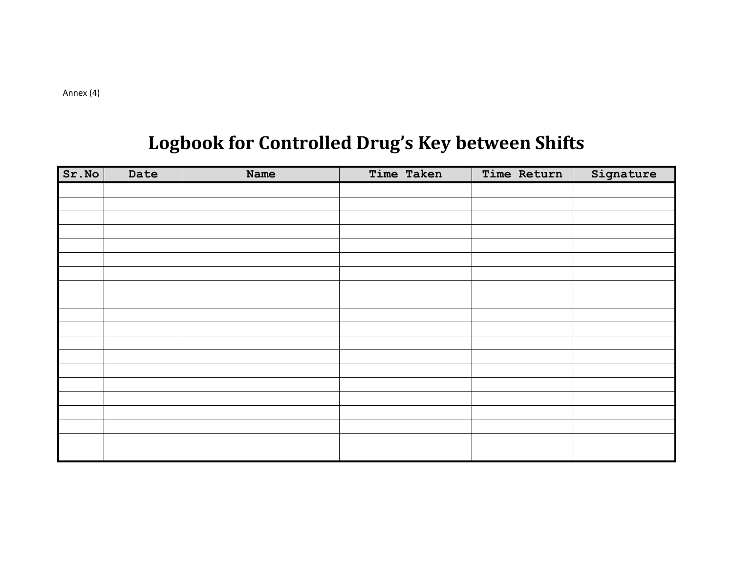# **Logbook for Controlled Drug's Key between Shifts**

| Sr.No | Date | <b>Name</b> | Time Taken | Time Return | Signature |
|-------|------|-------------|------------|-------------|-----------|
|       |      |             |            |             |           |
|       |      |             |            |             |           |
|       |      |             |            |             |           |
|       |      |             |            |             |           |
|       |      |             |            |             |           |
|       |      |             |            |             |           |
|       |      |             |            |             |           |
|       |      |             |            |             |           |
|       |      |             |            |             |           |
|       |      |             |            |             |           |
|       |      |             |            |             |           |
|       |      |             |            |             |           |
|       |      |             |            |             |           |
|       |      |             |            |             |           |
|       |      |             |            |             |           |
|       |      |             |            |             |           |
|       |      |             |            |             |           |
|       |      |             |            |             |           |
|       |      |             |            |             |           |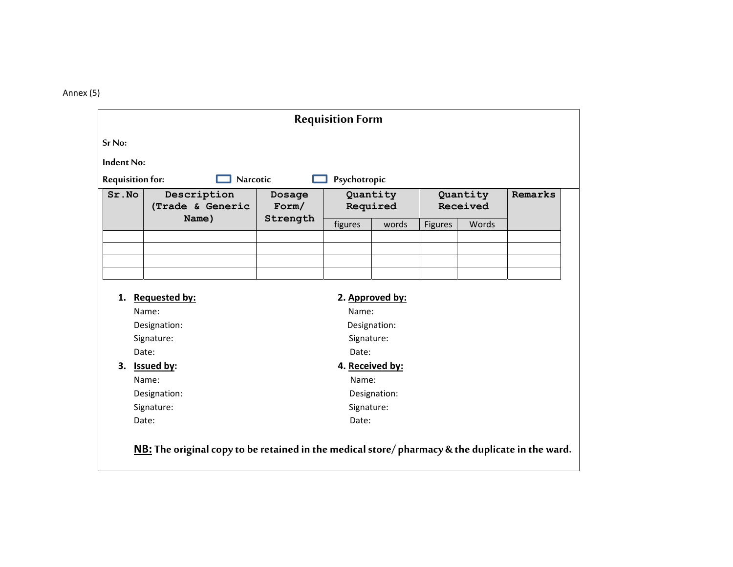Annex (5)

|                         |                                                                                                  |          | <b>Requisition Form</b> |                 |                |          |         |
|-------------------------|--------------------------------------------------------------------------------------------------|----------|-------------------------|-----------------|----------------|----------|---------|
| Sr No:                  |                                                                                                  |          |                         |                 |                |          |         |
| Indent No:              |                                                                                                  |          |                         |                 |                |          |         |
| <b>Requisition for:</b> | <b>Narcotic</b>                                                                                  |          | Psychotropic            |                 |                |          |         |
| Sr.No                   | Description                                                                                      | Dosage   |                         | Quantity        |                | Quantity | Remarks |
|                         | (Trade & Generic                                                                                 | Form/    |                         | Required        |                | Received |         |
|                         | Name)                                                                                            | Strength | figures                 | words           | <b>Figures</b> | Words    |         |
|                         |                                                                                                  |          |                         |                 |                |          |         |
|                         |                                                                                                  |          |                         |                 |                |          |         |
|                         |                                                                                                  |          |                         |                 |                |          |         |
|                         |                                                                                                  |          |                         |                 |                |          |         |
|                         | 1. Requested by:                                                                                 |          |                         | 2. Approved by: |                |          |         |
|                         | Name:                                                                                            |          | Name:                   |                 |                |          |         |
|                         | Designation:                                                                                     |          |                         | Designation:    |                |          |         |
|                         | Signature:                                                                                       |          | Signature:              |                 |                |          |         |
|                         | Date:                                                                                            |          | Date:                   |                 |                |          |         |
|                         | 3. Issued by:                                                                                    |          | 4. Received by:         |                 |                |          |         |
|                         | Name:                                                                                            |          | Name:                   |                 |                |          |         |
|                         | Designation:                                                                                     |          |                         | Designation:    |                |          |         |
|                         | Signature:                                                                                       |          | Signature:              |                 |                |          |         |
|                         | Date:                                                                                            |          | Date:                   |                 |                |          |         |
|                         | NB: The original copy to be retained in the medical store/ pharmacy & the duplicate in the ward. |          |                         |                 |                |          |         |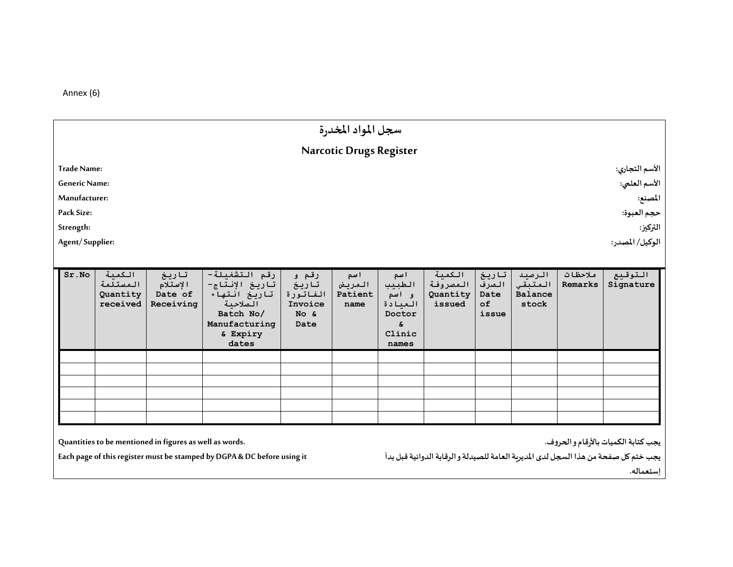Annex (6)

|                                                                                                           |                                            |                                                         |                                                                                                                |                                                         | سجل المواد المخدرة                |                                                                      |                                          |                                              |                                              |                    |                                                                                                                                         |  |
|-----------------------------------------------------------------------------------------------------------|--------------------------------------------|---------------------------------------------------------|----------------------------------------------------------------------------------------------------------------|---------------------------------------------------------|-----------------------------------|----------------------------------------------------------------------|------------------------------------------|----------------------------------------------|----------------------------------------------|--------------------|-----------------------------------------------------------------------------------------------------------------------------------------|--|
|                                                                                                           |                                            |                                                         |                                                                                                                |                                                         | <b>Narcotic Drugs Register</b>    |                                                                      |                                          |                                              |                                              |                    |                                                                                                                                         |  |
| <b>Trade Name:</b><br><b>Generic Name:</b><br>Manufacturer:<br>Pack Size:<br>Strength:<br>Agent/Supplier: |                                            |                                                         |                                                                                                                |                                                         |                                   |                                                                      |                                          |                                              |                                              |                    | الأسم التجاري:<br>الأسم العلمي:<br>المصنع:<br>حجم العبوة:<br>التركيز:<br>الوكيل/ المصدر:                                                |  |
| Sr.NO                                                                                                     | الكمية<br>المستلمة<br>Quantity<br>received | تاريخ<br>الإستلام<br>Date of<br>Receiving               | رقم التشغيلة-<br>تاريخ الإنتاج-<br>تاريخ انتهاء<br>الصلاحية<br>Batch No/<br>Manufacturing<br>& Expiry<br>dates | رقم و<br>تاريخ<br>الفاتورة<br>Invoice<br>$NO$ &<br>Date | ا سم<br>المريض<br>Patient<br>name | اسم<br>الطبيب<br>وانسم<br>العبادة<br>Doctor<br>£.<br>Clinic<br>names | الكمية<br>المصروفة<br>Quantity<br>issued | تاريغ<br>الصرف<br>Date<br>$\circ$ f<br>issue | الرصيد<br>المتبقى<br><b>Balance</b><br>stock | ملاحظات<br>Remarks | التوقيع<br>Signature                                                                                                                    |  |
|                                                                                                           |                                            | Quantities to be mentioned in figures as well as words. | Each page of this register must be stamped by DGPA & DC before using it                                        |                                                         |                                   |                                                                      |                                          |                                              |                                              |                    | يجب كتابة الكميات بالأرقام و الحروف.<br>يجب ختم كل صفحة من هذا السجل لدى المديربة العامة للصيدلة والرقابة الدوائية قبل بدأ<br>إستعماله. |  |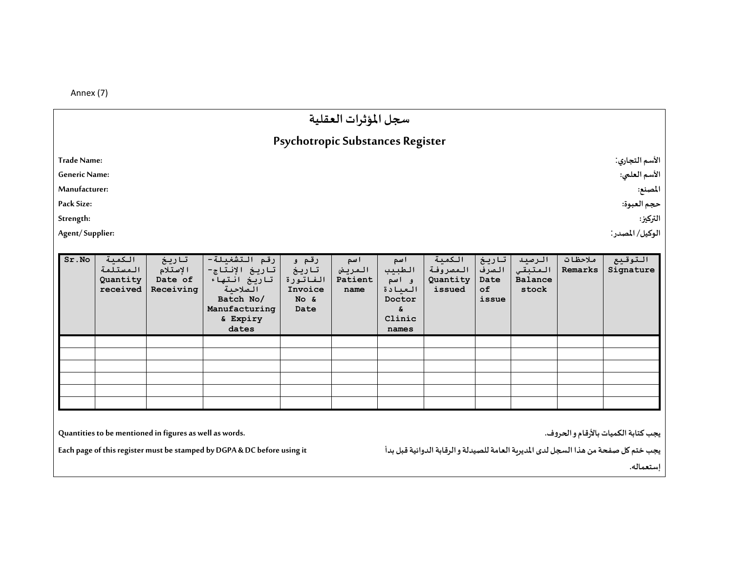Annex (7)

|                      |                                            |                                           |                                                                                                                |                                                               | سجل المؤثرات العقلية             |                                                                      |                                          |                                       |                                       |                    |                      |
|----------------------|--------------------------------------------|-------------------------------------------|----------------------------------------------------------------------------------------------------------------|---------------------------------------------------------------|----------------------------------|----------------------------------------------------------------------|------------------------------------------|---------------------------------------|---------------------------------------|--------------------|----------------------|
|                      |                                            |                                           |                                                                                                                | Psychotropic Substances Register                              |                                  |                                                                      |                                          |                                       |                                       |                    |                      |
| <b>Trade Name:</b>   |                                            |                                           |                                                                                                                |                                                               |                                  |                                                                      |                                          |                                       |                                       |                    | الأسم التجاري:       |
| <b>Generic Name:</b> |                                            |                                           |                                                                                                                |                                                               |                                  |                                                                      |                                          |                                       |                                       |                    | الأسم العلمي:        |
| Manufacturer:        |                                            |                                           |                                                                                                                |                                                               |                                  |                                                                      |                                          |                                       |                                       |                    | المصنع:              |
| Pack Size:           |                                            |                                           |                                                                                                                |                                                               |                                  |                                                                      |                                          |                                       |                                       |                    | حجم العبوة:          |
| Strength:            |                                            |                                           |                                                                                                                |                                                               |                                  |                                                                      |                                          |                                       |                                       |                    | التركيز:             |
| Agent/Supplier:      |                                            |                                           |                                                                                                                |                                                               |                                  |                                                                      |                                          |                                       |                                       |                    | الوكيل/ المصدر:      |
|                      |                                            |                                           |                                                                                                                |                                                               |                                  |                                                                      |                                          |                                       |                                       |                    |                      |
| Sr.No                | الكمية<br>المستلمة<br>Quantity<br>received | تاريخ<br>الإستلام<br>Date of<br>Receiving | رقم التشغيلة-<br>تاريخ الإنتاج-<br>تاريخ انتهاء<br>الصلاحية<br>Batch No/<br>Manufacturing<br>& Expiry<br>dates | رقم و<br>تاريخ<br>الفاتورة<br>Invoice<br>$N \circ \&$<br>Date | اسم<br>المريض<br>Patient<br>name | اسم<br>الطبيب<br>و اسم<br>العيادة<br>Doctor<br>&.<br>Clinic<br>names | الكمية<br>المصروفة<br>Quantity<br>issued | تاريخ<br>الصرف<br>Date<br>of<br>issue | الرصيد<br>المتبقي<br>Balance<br>stock | ملاحظات<br>Remarks | التوقيع<br>Signature |
|                      |                                            |                                           |                                                                                                                |                                                               |                                  |                                                                      |                                          |                                       |                                       |                    |                      |
|                      |                                            |                                           |                                                                                                                |                                                               |                                  |                                                                      |                                          |                                       |                                       |                    |                      |

**يجبكتابةالكمياتبالأرقام واݍݰروف.**

**Each page of this register must be stamped by DGPA & DC before using it** 

**Quantities to be mentioned in figures as well as words.** 

**يجبختم كل صفحةمن ɸذا الܦجل لدى المديرʈةالعامةللصيدلةوالرقابةالدوائيةقبل بدأ**

**إستعمالھ.**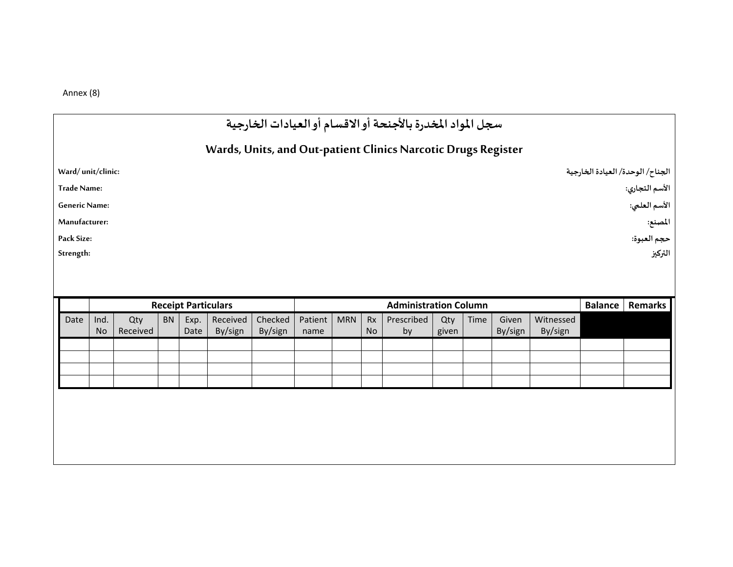Annex (8)

|                      |                   |                 |           |                            |                     |                    |                 |            |                        | سجل المواد المخدرة بالأجنحة أوالاقسام أوالعيادات الخارجية     |              |      |                  |                      |                |                                  |
|----------------------|-------------------|-----------------|-----------|----------------------------|---------------------|--------------------|-----------------|------------|------------------------|---------------------------------------------------------------|--------------|------|------------------|----------------------|----------------|----------------------------------|
|                      |                   |                 |           |                            |                     |                    |                 |            |                        | Wards, Units, and Out-patient Clinics Narcotic Drugs Register |              |      |                  |                      |                |                                  |
| Ward/unit/clinic:    |                   |                 |           |                            |                     |                    |                 |            |                        |                                                               |              |      |                  |                      |                | الجناح/ الوحدة/ العيادة الخارجية |
| <b>Trade Name:</b>   |                   |                 |           |                            |                     |                    |                 |            |                        |                                                               |              |      |                  |                      |                | الأسم التجاري:                   |
| <b>Generic Name:</b> |                   |                 |           |                            |                     |                    |                 |            |                        |                                                               |              |      |                  |                      |                | الأسم العلمي:                    |
| Manufacturer:        |                   |                 |           |                            |                     |                    |                 |            |                        |                                                               |              |      |                  |                      |                | المصنع:                          |
| Pack Size:           |                   |                 |           |                            |                     |                    |                 |            |                        |                                                               |              |      |                  |                      |                | حجم العبوة:                      |
| Strength:            |                   |                 |           |                            |                     |                    |                 |            |                        |                                                               |              |      |                  |                      |                | التركيز                          |
|                      |                   |                 |           |                            |                     |                    |                 |            |                        |                                                               |              |      |                  |                      |                |                                  |
|                      |                   |                 |           |                            |                     |                    |                 |            |                        |                                                               |              |      |                  |                      |                |                                  |
|                      |                   |                 |           | <b>Receipt Particulars</b> |                     |                    |                 |            |                        | <b>Administration Column</b>                                  |              |      |                  |                      | <b>Balance</b> | Remarks                          |
| Date                 | Ind.<br><b>No</b> | Qty<br>Received | <b>BN</b> | Exp.<br>Date               | Received<br>By/sign | Checked<br>By/sign | Patient<br>name | <b>MRN</b> | <b>Rx</b><br><b>No</b> | Prescribed<br>by                                              | Qty<br>given | Time | Given<br>By/sign | Witnessed<br>By/sign |                |                                  |
|                      |                   |                 |           |                            |                     |                    |                 |            |                        |                                                               |              |      |                  |                      |                |                                  |
|                      |                   |                 |           |                            |                     |                    |                 |            |                        |                                                               |              |      |                  |                      |                |                                  |
|                      |                   |                 |           |                            |                     |                    |                 |            |                        |                                                               |              |      |                  |                      |                |                                  |
|                      |                   |                 |           |                            |                     |                    |                 |            |                        |                                                               |              |      |                  |                      |                |                                  |
|                      |                   |                 |           |                            |                     |                    |                 |            |                        |                                                               |              |      |                  |                      |                |                                  |
|                      |                   |                 |           |                            |                     |                    |                 |            |                        |                                                               |              |      |                  |                      |                |                                  |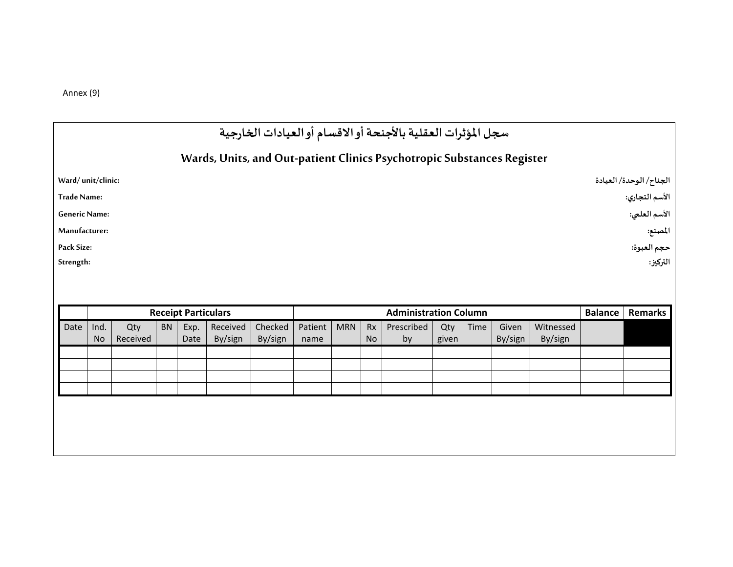Annex (9)

|                      |   | سجل المؤثرات العقلية بالأجنحة أوالاقسام أوالعيادات الخارجية            |                         |                |               |
|----------------------|---|------------------------------------------------------------------------|-------------------------|----------------|---------------|
|                      |   | Wards, Units, and Out-patient Clinics Psychotropic Substances Register |                         |                |               |
| Ward/unit/clinic:    |   |                                                                        | الجناح/ الوحدة/ العيادة |                |               |
| <b>Trade Name:</b>   |   |                                                                        |                         | الأسم التجاري: |               |
| <b>Generic Name:</b> |   |                                                                        |                         |                | الأسم العلمي: |
| Manufacturer:        |   |                                                                        |                         |                | المصنع:       |
| Pack Size:           |   |                                                                        |                         |                | حجم العبوة:   |
| Strength:            |   |                                                                        |                         |                | التركيز:      |
|                      |   |                                                                        |                         |                |               |
|                      |   |                                                                        |                         |                |               |
|                      | - | .                                                                      | $-1$                    |                |               |

|      |                   |                 |           | <b>Receipt Particulars</b> |                     |                    | <b>Administration Column</b> |        |    |                  |              |      |                  |                      | <b>Balance</b> | <b>Remarks</b> |
|------|-------------------|-----------------|-----------|----------------------------|---------------------|--------------------|------------------------------|--------|----|------------------|--------------|------|------------------|----------------------|----------------|----------------|
| Date | Ind.<br><b>No</b> | Qty<br>Received | <b>BN</b> | Exp.<br>Date               | Received<br>By/sign | Checked<br>By/sign | Patient  <br>name            | MRN Rx | No | Prescribed<br>by | Qty<br>given | Time | Given<br>By/sign | Witnessed<br>By/sign |                |                |
|      |                   |                 |           |                            |                     |                    |                              |        |    |                  |              |      |                  |                      |                |                |
|      |                   |                 |           |                            |                     |                    |                              |        |    |                  |              |      |                  |                      |                |                |
|      |                   |                 |           |                            |                     |                    |                              |        |    |                  |              |      |                  |                      |                |                |
|      |                   |                 |           |                            |                     |                    |                              |        |    |                  |              |      |                  |                      |                |                |
|      |                   |                 |           |                            |                     |                    |                              |        |    |                  |              |      |                  |                      |                |                |
|      |                   |                 |           |                            |                     |                    |                              |        |    |                  |              |      |                  |                      |                |                |
|      |                   |                 |           |                            |                     |                    |                              |        |    |                  |              |      |                  |                      |                |                |
|      |                   |                 |           |                            |                     |                    |                              |        |    |                  |              |      |                  |                      |                |                |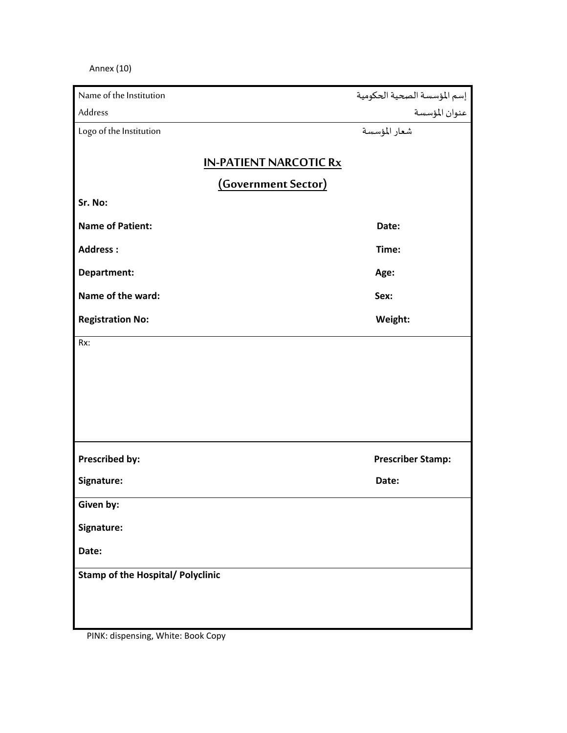Annex (10)

| إسم المؤسسة الصحية الحكومية<br>عنوان المؤسسة |
|----------------------------------------------|
|                                              |
| شعار المؤسسة                                 |
|                                              |
|                                              |
|                                              |
|                                              |
| Date:                                        |
| Time:                                        |
| Age:                                         |
| Sex:                                         |
| Weight:                                      |
|                                              |
|                                              |
|                                              |
|                                              |
|                                              |
|                                              |
| <b>Prescriber Stamp:</b>                     |
| Date:                                        |
|                                              |
|                                              |
|                                              |
|                                              |
|                                              |
|                                              |
|                                              |

PINK: dispensing, White: Book Copy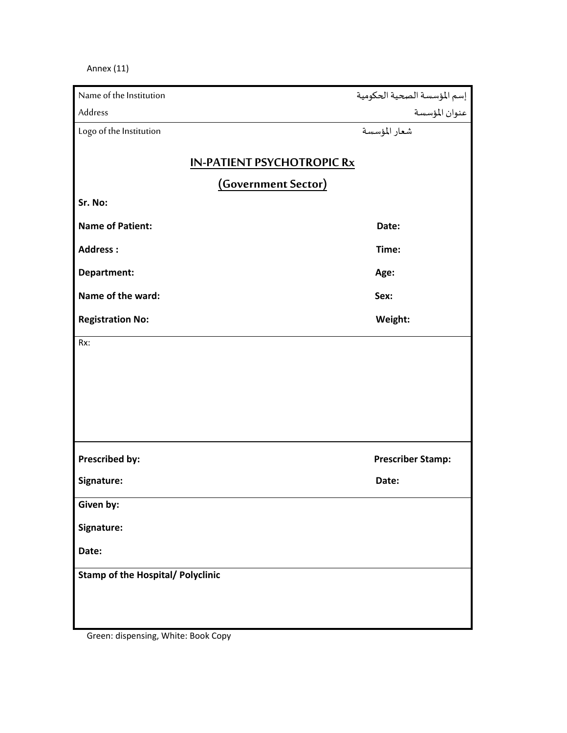Annex (11)

| Name of the Institution                  | إسم المؤسسة الصحية الحكومية |
|------------------------------------------|-----------------------------|
| Address                                  | عنوان المؤسسة               |
| Logo of the Institution                  | شعار المؤسسة                |
|                                          |                             |
| <b>IN-PATIENT PSYCHOTROPIC Rx</b>        |                             |
| (Government Sector)                      |                             |
| Sr. No:                                  |                             |
| <b>Name of Patient:</b>                  | Date:                       |
| <b>Address:</b>                          | Time:                       |
| Department:                              | Age:                        |
| Name of the ward:                        | Sex:                        |
| <b>Registration No:</b>                  | Weight:                     |
| Rx:                                      |                             |
|                                          |                             |
|                                          |                             |
|                                          |                             |
|                                          |                             |
|                                          |                             |
| <b>Prescribed by:</b>                    | <b>Prescriber Stamp:</b>    |
| Signature:                               | Date:                       |
| Given by:                                |                             |
| Signature:                               |                             |
| Date:                                    |                             |
| <b>Stamp of the Hospital/ Polyclinic</b> |                             |
|                                          |                             |
|                                          |                             |
|                                          |                             |

Green: dispensing, White: Book Copy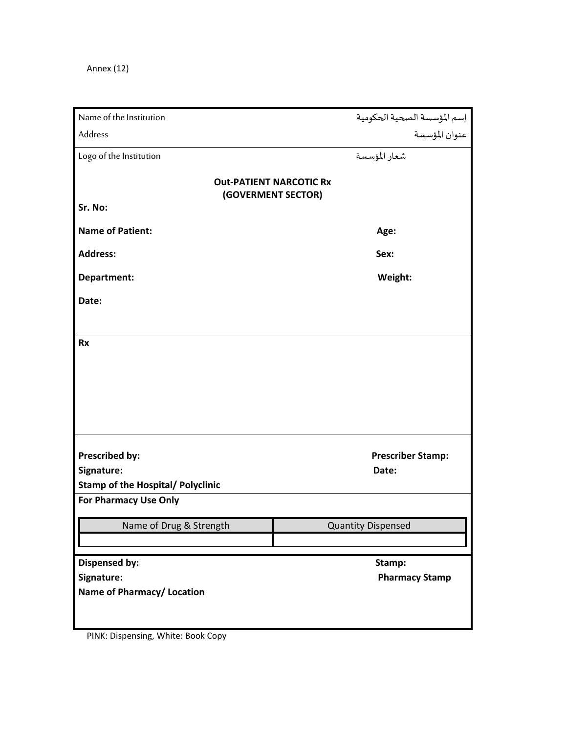Annex (12)

| Name of the Institution                                                  |                                                |
|--------------------------------------------------------------------------|------------------------------------------------|
| Address                                                                  | إسم المؤسسة الصحية الحكومية<br>  عنوان المؤسسة |
| Logo of the Institution                                                  | شعار المؤسسة                                   |
| <b>Out-PATIENT NARCOTIC Rx</b><br>(GOVERMENT SECTOR)<br>Sr. No:          |                                                |
|                                                                          |                                                |
| <b>Name of Patient:</b>                                                  | Age:                                           |
| <b>Address:</b>                                                          | Sex:                                           |
| Department:                                                              | Weight:                                        |
| Date:                                                                    |                                                |
|                                                                          |                                                |
| <b>Rx</b>                                                                |                                                |
|                                                                          |                                                |
|                                                                          |                                                |
|                                                                          |                                                |
|                                                                          |                                                |
|                                                                          |                                                |
| Prescribed by:                                                           | <b>Prescriber Stamp:</b>                       |
| Signature:                                                               | Date:                                          |
| <b>Stamp of the Hospital/ Polyclinic</b><br><b>For Pharmacy Use Only</b> |                                                |
|                                                                          |                                                |
| Name of Drug & Strength                                                  | <b>Quantity Dispensed</b>                      |
|                                                                          |                                                |
| <b>Dispensed by:</b>                                                     | Stamp:                                         |
| Signature:                                                               | <b>Pharmacy Stamp</b>                          |
| Name of Pharmacy/ Location                                               |                                                |
|                                                                          |                                                |
|                                                                          |                                                |

PINK: Dispensing, White: Book Copy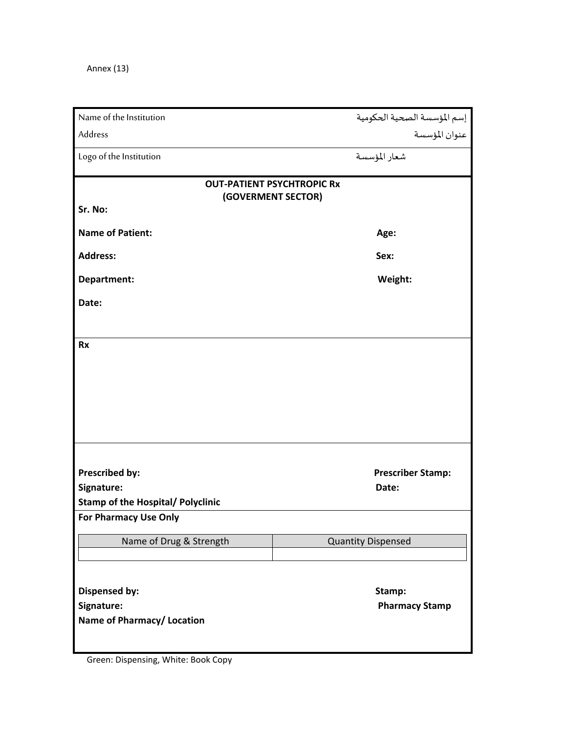Annex (13)

| Name of the Institution                  | إسم المؤسسة الصحية الحكومية                             |
|------------------------------------------|---------------------------------------------------------|
| Address                                  | عنوان المؤسسة                                           |
| Logo of the Institution                  | شعار المؤسسة                                            |
|                                          | <b>OUT-PATIENT PSYCHTROPIC Rx</b><br>(GOVERMENT SECTOR) |
| Sr. No:                                  |                                                         |
| <b>Name of Patient:</b>                  | Age:                                                    |
| <b>Address:</b>                          | Sex:                                                    |
| Department:                              | Weight:                                                 |
| Date:                                    |                                                         |
|                                          |                                                         |
| <b>Rx</b>                                |                                                         |
|                                          |                                                         |
|                                          |                                                         |
|                                          |                                                         |
|                                          |                                                         |
|                                          |                                                         |
| Prescribed by:                           | <b>Prescriber Stamp:</b>                                |
| Signature:                               | Date:                                                   |
| <b>Stamp of the Hospital/ Polyclinic</b> |                                                         |
| <b>For Pharmacy Use Only</b>             |                                                         |
| Name of Drug & Strength                  | <b>Quantity Dispensed</b>                               |
|                                          |                                                         |
| <b>Dispensed by:</b>                     | Stamp:                                                  |
| Signature:                               | <b>Pharmacy Stamp</b>                                   |
| Name of Pharmacy/ Location               |                                                         |
|                                          |                                                         |

ı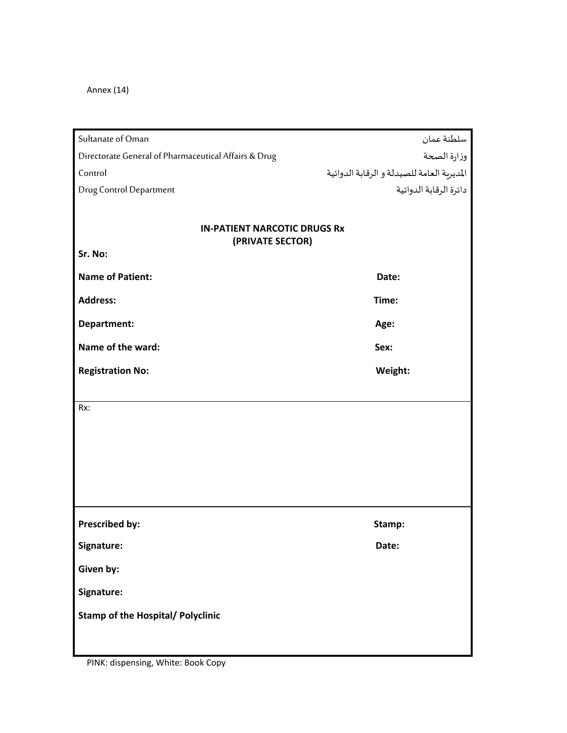Annex (14)

| Sultanate of Oman                                       |                                            |
|---------------------------------------------------------|--------------------------------------------|
| Directorate General of Pharmaceutical Affairs & Drug    | سلطنة عمان<br>وزارة الصحة                  |
| Control                                                 | المديرية العامة للصيدلة و الرقابة الدوائية |
| <b>Drug Control Department</b>                          | دائرة الرقابة الدوائية                     |
|                                                         |                                            |
| <b>IN-PATIENT NARCOTIC DRUGS Rx</b><br>(PRIVATE SECTOR) |                                            |
| Sr. No:                                                 |                                            |
| <b>Name of Patient:</b>                                 | Date:                                      |
| <b>Address:</b>                                         | Time:                                      |
| Department:                                             | Age:                                       |
| Name of the ward:                                       | Sex:                                       |
| <b>Registration No:</b>                                 | Weight:                                    |
|                                                         |                                            |
| Rx:                                                     |                                            |
|                                                         |                                            |
|                                                         |                                            |
|                                                         |                                            |
|                                                         |                                            |
|                                                         |                                            |
| Prescribed by:                                          | Stamp:                                     |
| Signature:                                              | Date:                                      |
| Given by:                                               |                                            |
| Signature:                                              |                                            |
| <b>Stamp of the Hospital/ Polyclinic</b>                |                                            |
|                                                         |                                            |

PINK: dispensing, White: Book Copy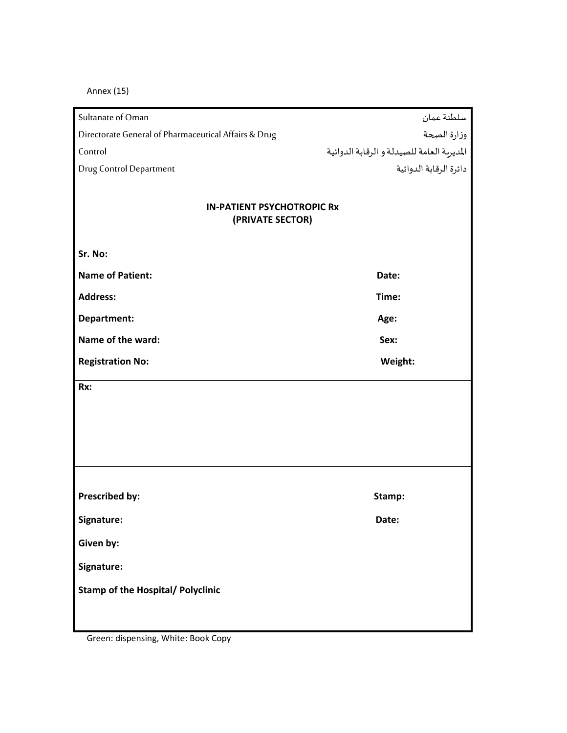Annex (15)

| Sultanate of Oman                                     | سلطنة عمان                                 |
|-------------------------------------------------------|--------------------------------------------|
| Directorate General of Pharmaceutical Affairs & Drug  | وزارة الصحة                                |
| Control                                               | المديرية العامة للصيدلة و الرقابة الدوائية |
| <b>Drug Control Department</b>                        | دائرة الرقابة الدوائية                     |
|                                                       |                                            |
| <b>IN-PATIENT PSYCHOTROPIC Rx</b><br>(PRIVATE SECTOR) |                                            |
| Sr. No:                                               |                                            |
| <b>Name of Patient:</b>                               | Date:                                      |
| <b>Address:</b>                                       | Time:                                      |
| Department:                                           | Age:                                       |
| Name of the ward:                                     | Sex:                                       |
| <b>Registration No:</b>                               | Weight:                                    |
| Rx:                                                   |                                            |
|                                                       |                                            |
|                                                       |                                            |
|                                                       |                                            |
|                                                       |                                            |
|                                                       |                                            |
| Prescribed by:                                        | Stamp:                                     |
| Signature:                                            | Date:                                      |
| Given by:                                             |                                            |
| Signature:                                            |                                            |
| <b>Stamp of the Hospital/ Polyclinic</b>              |                                            |
|                                                       |                                            |

Green: dispensing, White: Book Copy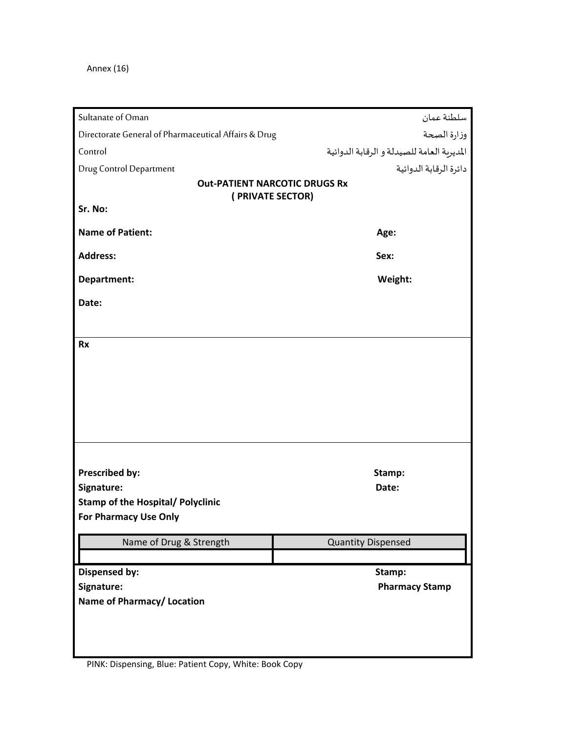Annex (16)

| Sultanate of Oman                                                 | سلطنة عمان                                 |
|-------------------------------------------------------------------|--------------------------------------------|
| Directorate General of Pharmaceutical Affairs & Drug              | وزارة الصحة                                |
| Control                                                           | المديرية العامة للصيدلة و الرقابة الدوائية |
| <b>Drug Control Department</b>                                    | دائرة الرقابة الدوائية                     |
|                                                                   | <b>Out-PATIENT NARCOTIC DRUGS Rx</b>       |
| (PRIVATE SECTOR)<br>Sr. No:                                       |                                            |
|                                                                   |                                            |
| <b>Name of Patient:</b>                                           | Age:                                       |
| <b>Address:</b>                                                   | Sex:                                       |
| Department:                                                       | Weight:                                    |
| Date:                                                             |                                            |
|                                                                   |                                            |
| <b>Rx</b>                                                         |                                            |
|                                                                   |                                            |
|                                                                   |                                            |
|                                                                   |                                            |
|                                                                   |                                            |
|                                                                   |                                            |
|                                                                   |                                            |
|                                                                   |                                            |
| Prescribed by:                                                    | Stamp:                                     |
| Signature:                                                        | Date:                                      |
| <b>Stamp of the Hospital/ Polyclinic</b><br>For Pharmacy Use Only |                                            |
|                                                                   |                                            |
| Name of Drug & Strength                                           | <b>Quantity Dispensed</b>                  |
|                                                                   |                                            |
| <b>Dispensed by:</b>                                              | Stamp:                                     |
| Signature:                                                        | <b>Pharmacy Stamp</b>                      |
| Name of Pharmacy/ Location                                        |                                            |
|                                                                   |                                            |
|                                                                   |                                            |
|                                                                   |                                            |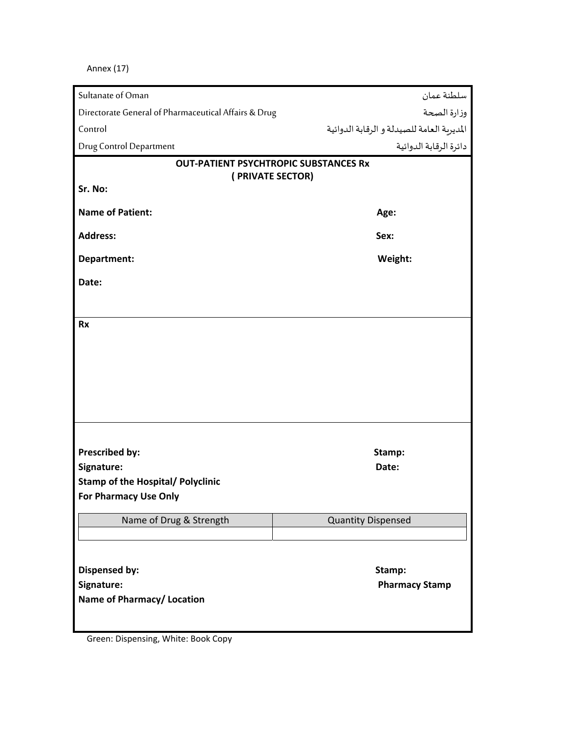Annex (17)

| Sultanate of Oman                                    | سلطنة عمان                                   |
|------------------------------------------------------|----------------------------------------------|
| Directorate General of Pharmaceutical Affairs & Drug | وزارة الصحة                                  |
| Control                                              | المديرية العامة للصيدلة و الرقابة الدوائية   |
| <b>Drug Control Department</b>                       | دائرة الرقابة الدوائية                       |
|                                                      | <b>OUT-PATIENT PSYCHTROPIC SUBSTANCES Rx</b> |
| (PRIVATE SECTOR)                                     |                                              |
| Sr. No:                                              |                                              |
| <b>Name of Patient:</b>                              | Age:                                         |
| <b>Address:</b>                                      | Sex:                                         |
| Department:                                          | Weight:                                      |
| Date:                                                |                                              |
|                                                      |                                              |
| <b>Rx</b>                                            |                                              |
|                                                      |                                              |
|                                                      |                                              |
|                                                      |                                              |
|                                                      |                                              |
|                                                      |                                              |
|                                                      |                                              |
| Prescribed by:                                       | Stamp:                                       |
| Signature:                                           | Date:                                        |
| <b>Stamp of the Hospital/ Polyclinic</b>             |                                              |
| For Pharmacy Use Only                                |                                              |
| Name of Drug & Strength                              | <b>Quantity Dispensed</b>                    |
|                                                      |                                              |
|                                                      |                                              |
| <b>Dispensed by:</b>                                 | Stamp:                                       |
| Signature:                                           | <b>Pharmacy Stamp</b>                        |
| Name of Pharmacy/ Location                           |                                              |
|                                                      |                                              |

Green: Dispensing, White: Book Copy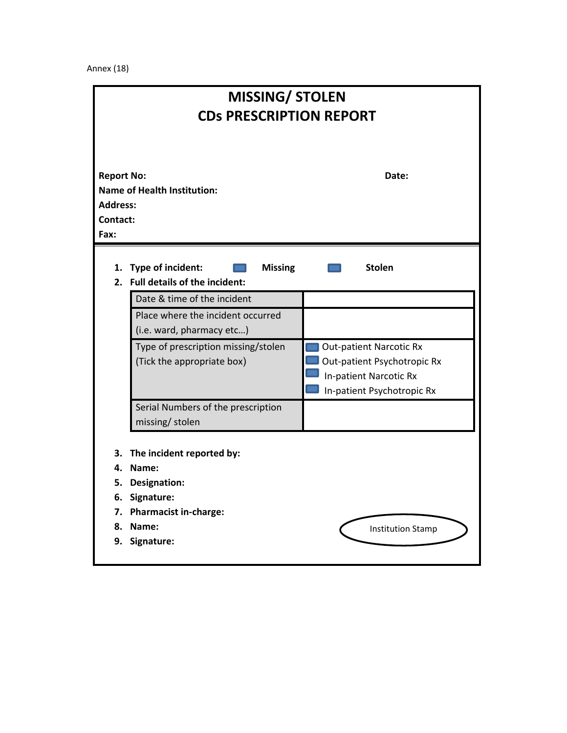Annex (18)

|                                                          | <b>MISSING/ STOLEN</b>                                                     |                                                                                                                       |  |  |  |  |
|----------------------------------------------------------|----------------------------------------------------------------------------|-----------------------------------------------------------------------------------------------------------------------|--|--|--|--|
| <b>CDs PRESCRIPTION REPORT</b>                           |                                                                            |                                                                                                                       |  |  |  |  |
| <b>Report No:</b><br><b>Address:</b><br>Contact:<br>Fax: | <b>Name of Health Institution:</b>                                         | Date:                                                                                                                 |  |  |  |  |
|                                                          | 1. Type of incident:<br><b>Missing</b><br>2. Full details of the incident: | <b>Stolen</b>                                                                                                         |  |  |  |  |
|                                                          | Date & time of the incident                                                |                                                                                                                       |  |  |  |  |
|                                                          | Place where the incident occurred<br>(i.e. ward, pharmacy etc)             |                                                                                                                       |  |  |  |  |
|                                                          | Type of prescription missing/stolen<br>(Tick the appropriate box)          | <b>Out-patient Narcotic Rx</b><br>Out-patient Psychotropic Rx<br>In-patient Narcotic Rx<br>In-patient Psychotropic Rx |  |  |  |  |
|                                                          | Serial Numbers of the prescription<br>missing/stolen                       |                                                                                                                       |  |  |  |  |
| З.<br>4.<br>5.<br>6.                                     | The incident reported by:<br>Name:<br><b>Designation:</b><br>Signature:    |                                                                                                                       |  |  |  |  |
| 8.<br>9.                                                 | 7. Pharmacist in-charge:<br>Name:<br>Signature:                            | <b>Institution Stamp</b>                                                                                              |  |  |  |  |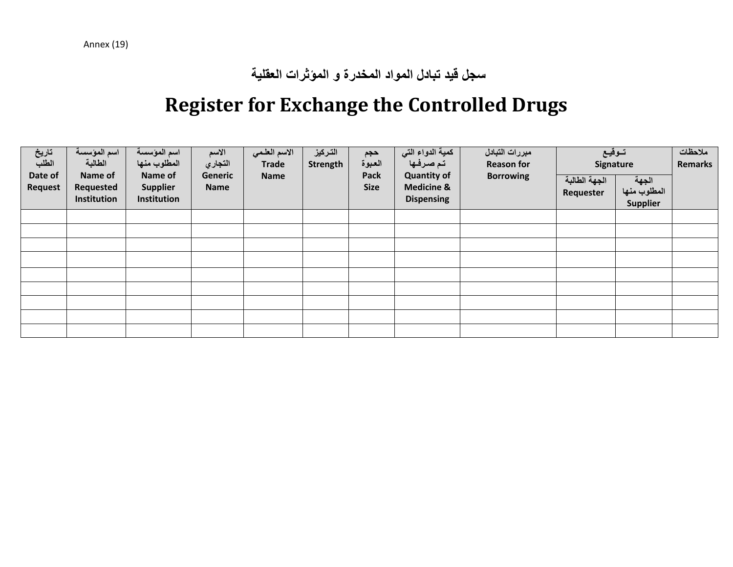**سجل قيد تبادل المواد المخدرة و المؤثرات العقلية**

# **Register for Exchange the Controlled Drugs**

| تاريخ<br>الطلب<br>Date of<br><b>Request</b> | اسم المؤسسة<br>الطالبة<br>Name of<br>Requested<br>Institution | اسم المؤسسة<br>المطلوب منها<br>Name of<br><b>Supplier</b><br>Institution | الاسم<br>التجاري<br>Generic<br><b>Name</b> | الاسم العلمي<br><b>Trade</b><br>Name | التركيز<br>Strength | حجم<br>العبوة<br><b>Pack</b><br><b>Size</b> | كمية الدواء التي<br>تمصرفها<br><b>Quantity of</b><br><b>Medicine &amp;</b><br><b>Dispensing</b> | مبررات التبادل<br><b>Reason for</b><br><b>Borrowing</b> | توقيع<br>Signature<br>الجهة الطالبة<br>Requester | الجهة<br>المطلوب منها<br><b>Supplier</b> | ملاحظات<br><b>Remarks</b> |
|---------------------------------------------|---------------------------------------------------------------|--------------------------------------------------------------------------|--------------------------------------------|--------------------------------------|---------------------|---------------------------------------------|-------------------------------------------------------------------------------------------------|---------------------------------------------------------|--------------------------------------------------|------------------------------------------|---------------------------|
|                                             |                                                               |                                                                          |                                            |                                      |                     |                                             |                                                                                                 |                                                         |                                                  |                                          |                           |
|                                             |                                                               |                                                                          |                                            |                                      |                     |                                             |                                                                                                 |                                                         |                                                  |                                          |                           |
|                                             |                                                               |                                                                          |                                            |                                      |                     |                                             |                                                                                                 |                                                         |                                                  |                                          |                           |
|                                             |                                                               |                                                                          |                                            |                                      |                     |                                             |                                                                                                 |                                                         |                                                  |                                          |                           |
|                                             |                                                               |                                                                          |                                            |                                      |                     |                                             |                                                                                                 |                                                         |                                                  |                                          |                           |
|                                             |                                                               |                                                                          |                                            |                                      |                     |                                             |                                                                                                 |                                                         |                                                  |                                          |                           |
|                                             |                                                               |                                                                          |                                            |                                      |                     |                                             |                                                                                                 |                                                         |                                                  |                                          |                           |
|                                             |                                                               |                                                                          |                                            |                                      |                     |                                             |                                                                                                 |                                                         |                                                  |                                          |                           |
|                                             |                                                               |                                                                          |                                            |                                      |                     |                                             |                                                                                                 |                                                         |                                                  |                                          |                           |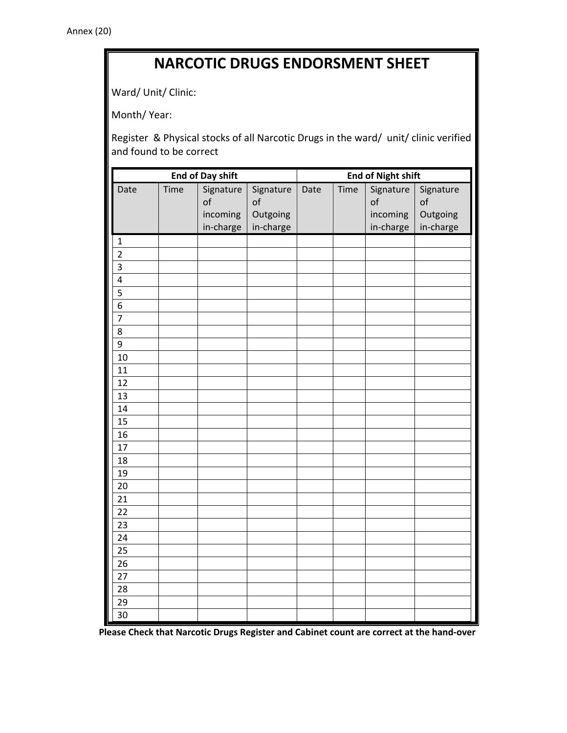## **NARCOTIC DRUGS ENDORSMENT SHEET**

Ward/ Unit/ Clinic:

Month/ Year:

Register & Physical stocks of all Narcotic Drugs in the ward/ unit/ clinic verified and found to be correct

| <b>End of Day shift</b> |      |                       |                       | <b>End of Night shift</b> |      |                       |                       |
|-------------------------|------|-----------------------|-----------------------|---------------------------|------|-----------------------|-----------------------|
| Date                    | Time | Signature<br>of       | Signature<br>of       | Date                      | Time | Signature<br>of       | Signature<br>of       |
|                         |      | incoming<br>in-charge | Outgoing<br>in-charge |                           |      | incoming<br>in-charge | Outgoing<br>in-charge |
| $\mathbf 1$             |      |                       |                       |                           |      |                       |                       |
| $\overline{2}$          |      |                       |                       |                           |      |                       |                       |
| $\overline{\mathbf{3}}$ |      |                       |                       |                           |      |                       |                       |
| $\overline{\mathbf{4}}$ |      |                       |                       |                           |      |                       |                       |
| 5                       |      |                       |                       |                           |      |                       |                       |
| 6                       |      |                       |                       |                           |      |                       |                       |
| $\overline{7}$          |      |                       |                       |                           |      |                       |                       |
| $\overline{8}$          |      |                       |                       |                           |      |                       |                       |
| 9                       |      |                       |                       |                           |      |                       |                       |
| 10                      |      |                       |                       |                           |      |                       |                       |
| 11                      |      |                       |                       |                           |      |                       |                       |
| 12                      |      |                       |                       |                           |      |                       |                       |
| 13                      |      |                       |                       |                           |      |                       |                       |
| 14                      |      |                       |                       |                           |      |                       |                       |
| 15                      |      |                       |                       |                           |      |                       |                       |
| 16                      |      |                       |                       |                           |      |                       |                       |
| 17                      |      |                       |                       |                           |      |                       |                       |
| 18                      |      |                       |                       |                           |      |                       |                       |
| 19                      |      |                       |                       |                           |      |                       |                       |
| 20                      |      |                       |                       |                           |      |                       |                       |
| 21                      |      |                       |                       |                           |      |                       |                       |
| 22                      |      |                       |                       |                           |      |                       |                       |
| 23                      |      |                       |                       |                           |      |                       |                       |
| 24                      |      |                       |                       |                           |      |                       |                       |
| 25                      |      |                       |                       |                           |      |                       |                       |
| 26                      |      |                       |                       |                           |      |                       |                       |
| 27                      |      |                       |                       |                           |      |                       |                       |
| 28                      |      |                       |                       |                           |      |                       |                       |
| 29                      |      |                       |                       |                           |      |                       |                       |
| 30                      |      |                       |                       |                           |      |                       |                       |

**Please Check that Narcotic Drugs Register and Cabinet count are correct at the hand‐over**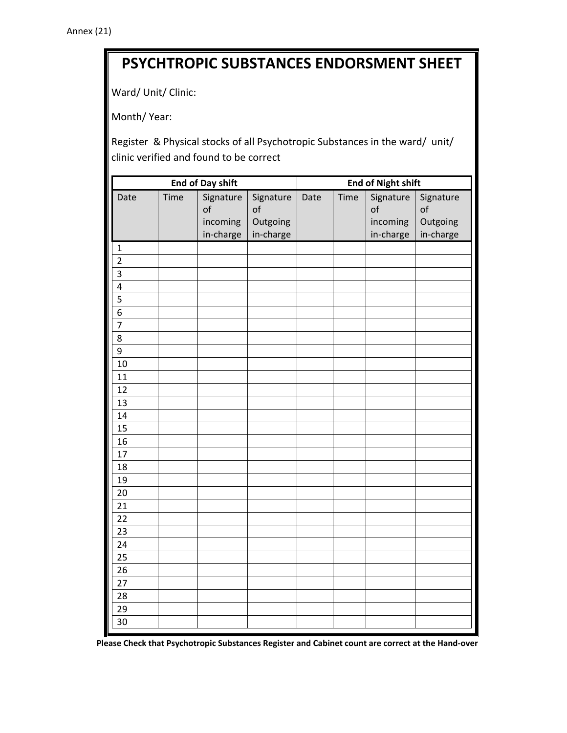# **PSYCHTROPIC SUBSTANCES ENDORSMENT SHEET**

Ward/ Unit/ Clinic:

Month/ Year:

Register & Physical stocks of all Psychotropic Substances in the ward/ unit/ clinic verified and found to be correct

| <b>End of Day shift</b> |      |                       |                       | <b>End of Night shift</b> |      |                       |                       |
|-------------------------|------|-----------------------|-----------------------|---------------------------|------|-----------------------|-----------------------|
| Date                    | Time | Signature<br>of       | Signature<br>of       | Date                      | Time | Signature<br>of       | Signature<br>of       |
|                         |      | incoming<br>in-charge | Outgoing<br>in-charge |                           |      | incoming<br>in-charge | Outgoing<br>in-charge |
| $\mathbf 1$             |      |                       |                       |                           |      |                       |                       |
| $\overline{2}$          |      |                       |                       |                           |      |                       |                       |
| $\overline{\mathbf{3}}$ |      |                       |                       |                           |      |                       |                       |
| $\overline{\mathbf{4}}$ |      |                       |                       |                           |      |                       |                       |
| 5                       |      |                       |                       |                           |      |                       |                       |
| 6                       |      |                       |                       |                           |      |                       |                       |
| $\overline{7}$          |      |                       |                       |                           |      |                       |                       |
| 8                       |      |                       |                       |                           |      |                       |                       |
| 9                       |      |                       |                       |                           |      |                       |                       |
| 10                      |      |                       |                       |                           |      |                       |                       |
| 11                      |      |                       |                       |                           |      |                       |                       |
| 12                      |      |                       |                       |                           |      |                       |                       |
| 13                      |      |                       |                       |                           |      |                       |                       |
| 14                      |      |                       |                       |                           |      |                       |                       |
| $\overline{15}$         |      |                       |                       |                           |      |                       |                       |
| 16                      |      |                       |                       |                           |      |                       |                       |
| 17                      |      |                       |                       |                           |      |                       |                       |
| 18                      |      |                       |                       |                           |      |                       |                       |
| 19                      |      |                       |                       |                           |      |                       |                       |
| 20                      |      |                       |                       |                           |      |                       |                       |
| 21                      |      |                       |                       |                           |      |                       |                       |
| 22                      |      |                       |                       |                           |      |                       |                       |
| 23                      |      |                       |                       |                           |      |                       |                       |
| 24                      |      |                       |                       |                           |      |                       |                       |
| 25                      |      |                       |                       |                           |      |                       |                       |
| 26                      |      |                       |                       |                           |      |                       |                       |
| 27                      |      |                       |                       |                           |      |                       |                       |
| 28                      |      |                       |                       |                           |      |                       |                       |
| 29                      |      |                       |                       |                           |      |                       |                       |
| 30                      |      |                       |                       |                           |      |                       |                       |

Please Check that Psychotropic Substances Register and Cabinet count are correct at the Hand-over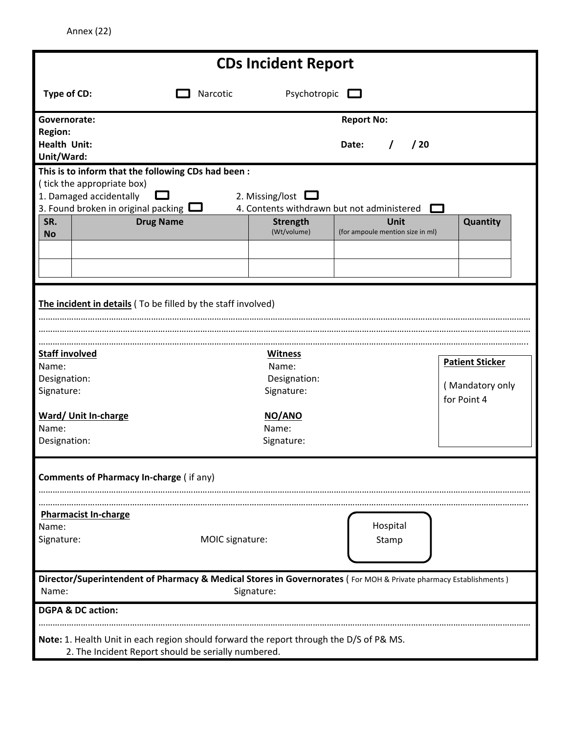Annex (22)

| <b>CDs Incident Report</b>                                                                                                                                                                                      |                                                                                         |                                                                                                                  |  |  |  |
|-----------------------------------------------------------------------------------------------------------------------------------------------------------------------------------------------------------------|-----------------------------------------------------------------------------------------|------------------------------------------------------------------------------------------------------------------|--|--|--|
| Type of CD:                                                                                                                                                                                                     | Narcotic                                                                                | Psychotropic $\square$                                                                                           |  |  |  |
| Governorate:<br><b>Region:</b><br><b>Health Unit:</b>                                                                                                                                                           |                                                                                         | <b>Report No:</b><br>/20<br>Date:                                                                                |  |  |  |
| Unit/Ward:<br>This is to inform that the following CDs had been:<br>(tick the appropriate box)<br>1. Damaged accidentally<br>3. Found broken in original packing $\Box$<br>SR.<br><b>Drug Name</b><br><b>No</b> | 2. Missing/lost $\square$<br><b>Strength</b><br>(Wt/volume)                             | 4. Contents withdrawn but not administered<br>Unit<br>Quantity<br>(for ampoule mention size in ml)               |  |  |  |
| The incident in details (To be filled by the staff involved)                                                                                                                                                    |                                                                                         |                                                                                                                  |  |  |  |
| <b>Staff involved</b><br>Name:<br>Designation:<br>Signature:                                                                                                                                                    | <b>Witness</b><br>Name:<br>Designation:<br>Signature:                                   | <b>Patient Sticker</b><br>(Mandatory only<br>for Point 4                                                         |  |  |  |
| Ward/ Unit In-charge<br>Name:<br>Designation:                                                                                                                                                                   | NO/ANO<br>Name:<br>Signature:                                                           |                                                                                                                  |  |  |  |
| <b>Comments of Pharmacy In-charge (if any)</b>                                                                                                                                                                  |                                                                                         |                                                                                                                  |  |  |  |
| <b>Pharmacist In-charge</b><br>Name:<br>Signature:                                                                                                                                                              | MOIC signature:                                                                         | Hospital<br>Stamp                                                                                                |  |  |  |
| Name:                                                                                                                                                                                                           | Signature:                                                                              | Director/Superintendent of Pharmacy & Medical Stores in Governorates (For MOH & Private pharmacy Establishments) |  |  |  |
| <b>DGPA &amp; DC action:</b>                                                                                                                                                                                    | Note: 1. Health Unit in each region should forward the report through the D/S of P& MS. |                                                                                                                  |  |  |  |
|                                                                                                                                                                                                                 | 2. The Incident Report should be serially numbered.                                     |                                                                                                                  |  |  |  |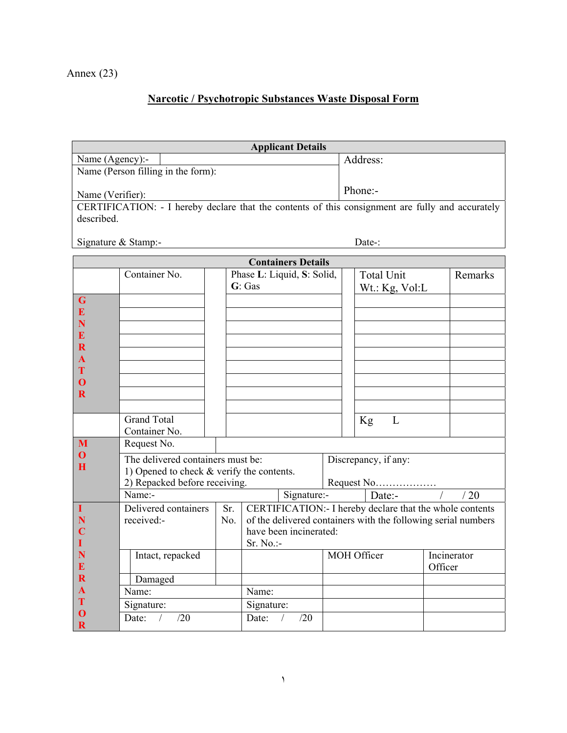## **Narcotic / Psychotropic Substances Waste Disposal Form**

|                                                                                                  |                                           |                       | <b>Applicant Details</b>                                      |     |             |                      |                                                           |         |         |  |
|--------------------------------------------------------------------------------------------------|-------------------------------------------|-----------------------|---------------------------------------------------------------|-----|-------------|----------------------|-----------------------------------------------------------|---------|---------|--|
| Name (Agency):-                                                                                  |                                           |                       |                                                               |     |             | Address:             |                                                           |         |         |  |
| Name (Person filling in the form):                                                               |                                           |                       |                                                               |     |             |                      |                                                           |         |         |  |
|                                                                                                  |                                           |                       |                                                               |     |             | Phone:-              |                                                           |         |         |  |
| Name (Verifier):                                                                                 |                                           |                       |                                                               |     |             |                      |                                                           |         |         |  |
| CERTIFICATION: - I hereby declare that the contents of this consignment are fully and accurately |                                           |                       |                                                               |     |             |                      |                                                           |         |         |  |
| described.                                                                                       |                                           |                       |                                                               |     |             |                      |                                                           |         |         |  |
|                                                                                                  |                                           |                       |                                                               |     | Date-:      |                      |                                                           |         |         |  |
| Signature & Stamp:-                                                                              |                                           |                       |                                                               |     |             |                      |                                                           |         |         |  |
| <b>Containers Details</b>                                                                        |                                           |                       |                                                               |     |             |                      |                                                           |         |         |  |
|                                                                                                  | Container No.                             |                       | Phase L: Liquid, S: Solid,                                    |     |             |                      | <b>Total Unit</b>                                         |         | Remarks |  |
|                                                                                                  |                                           |                       | G: Gas                                                        |     |             |                      | Wt.: Kg, Vol:L                                            |         |         |  |
| G                                                                                                |                                           |                       |                                                               |     |             |                      |                                                           |         |         |  |
| E                                                                                                |                                           |                       |                                                               |     |             |                      |                                                           |         |         |  |
| N                                                                                                |                                           |                       |                                                               |     |             |                      |                                                           |         |         |  |
| E                                                                                                |                                           |                       |                                                               |     |             |                      |                                                           |         |         |  |
| $\mathbf R$                                                                                      |                                           |                       |                                                               |     |             |                      |                                                           |         |         |  |
| A<br>T                                                                                           |                                           |                       |                                                               |     |             |                      |                                                           |         |         |  |
| $\mathbf 0$                                                                                      |                                           |                       |                                                               |     |             |                      |                                                           |         |         |  |
| R                                                                                                |                                           |                       |                                                               |     |             |                      |                                                           |         |         |  |
|                                                                                                  |                                           |                       |                                                               |     |             |                      |                                                           |         |         |  |
|                                                                                                  | <b>Grand Total</b>                        |                       |                                                               |     |             |                      | L<br>Kg                                                   |         |         |  |
|                                                                                                  | Container No.                             |                       |                                                               |     |             |                      |                                                           |         |         |  |
| M                                                                                                | Request No.                               |                       |                                                               |     |             |                      |                                                           |         |         |  |
| O                                                                                                | The delivered containers must be:         |                       |                                                               |     |             | Discrepancy, if any: |                                                           |         |         |  |
| H                                                                                                | 1) Opened to check & verify the contents. |                       |                                                               |     |             |                      |                                                           |         |         |  |
|                                                                                                  | 2) Repacked before receiving.             |                       |                                                               |     | Request No  |                      |                                                           |         |         |  |
|                                                                                                  | Name:-                                    | Signature:-<br>Date:- |                                                               |     |             | /20                  |                                                           |         |         |  |
| T                                                                                                | Delivered containers                      | Sr.                   |                                                               |     |             |                      | CERTIFICATION: - I hereby declare that the whole contents |         |         |  |
|                                                                                                  | received:-                                | No.                   | of the delivered containers with the following serial numbers |     |             |                      |                                                           |         |         |  |
|                                                                                                  |                                           |                       | have been incinerated:                                        |     |             |                      |                                                           |         |         |  |
|                                                                                                  |                                           |                       | $Sr. No.$ :-                                                  |     |             |                      |                                                           |         |         |  |
| N                                                                                                | Intact, repacked                          |                       |                                                               |     | MOH Officer |                      | Incinerator                                               |         |         |  |
| $\bf{E}$                                                                                         |                                           |                       |                                                               |     |             |                      |                                                           | Officer |         |  |
| $\mathbf R$                                                                                      | Damaged                                   |                       |                                                               |     |             |                      |                                                           |         |         |  |
| $\mathbf{A}$<br>T                                                                                | Name:                                     | Name:                 |                                                               |     |             |                      |                                                           |         |         |  |
| $\boldsymbol{0}$                                                                                 | Signature:                                | Signature:            |                                                               |     |             |                      |                                                           |         |         |  |
| $\mathbf R$                                                                                      | Date:<br>/20<br>$\sqrt{2}$                |                       | Date:<br>$\sqrt{2}$                                           | /20 |             |                      |                                                           |         |         |  |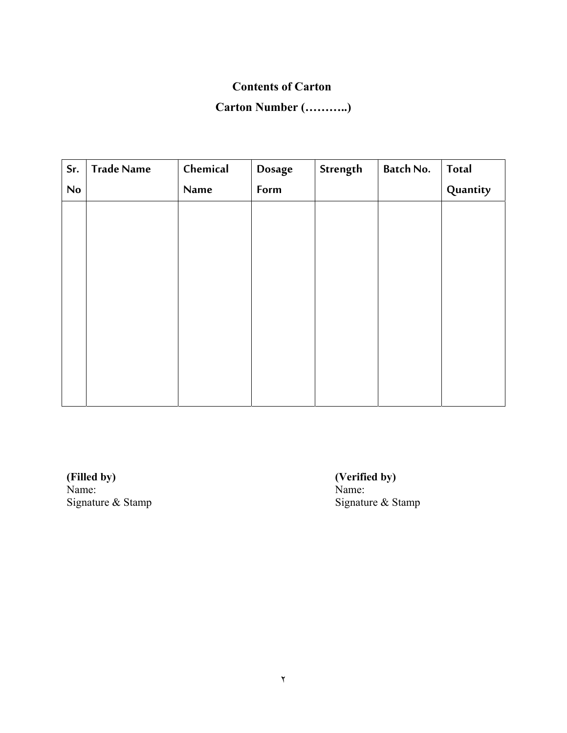#### **Contents of Carton**

## **Carton Number (………..)**

| Sr. | <b>Trade Name</b> | Chemical | <b>Dosage</b> | Strength | <b>Batch No.</b> | Total    |
|-----|-------------------|----------|---------------|----------|------------------|----------|
| No  |                   | Name     | Form          |          |                  | Quantity |
|     |                   |          |               |          |                  |          |
|     |                   |          |               |          |                  |          |
|     |                   |          |               |          |                  |          |
|     |                   |          |               |          |                  |          |
|     |                   |          |               |          |                  |          |
|     |                   |          |               |          |                  |          |
|     |                   |          |               |          |                  |          |
|     |                   |          |               |          |                  |          |
|     |                   |          |               |          |                  |          |
|     |                   |          |               |          |                  |          |

**(Filled by) (Verified by) (Verified by) (New York) Name:** Name:<br>Signature & Stamp

Signature & Stamp